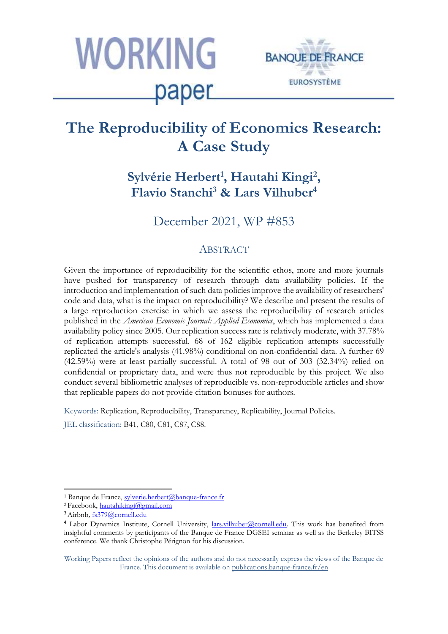



# The Reproducibility of Economics Res A Case Stud

Sylvérie Herbert<sup>,</sup> Hautahi Kingi<sup>2</sup> **, Flavio Stanchi**<sup>3</sup> & Lars Vilhube

December 2021, WP #853

# **ABSTRACT**

Given the importance of reproducibility for the scientific ethos, more and more journals have pushed for transparency of research through data availability policies. If the introduction and implementation of such data policies improve the availability of researchers' code and data, what is the impact on reproducibility? We describe and present the results of a large reproduction exercise in which we assess the reproducibility of research articles published in the *American Economic Journal: Applied Economics*, which has implemented a data availability policy since 2005. Our replication success rate is relatively moderate, with 37.78% of replication attempts successful. 68 of 162 eligible replication attempts successfully replicated the article's analysis (41.98%) conditional on non-confidential data. A further 69 (42.59%) were at least partially successful. A total of 98 out of 303 (32.34%) relied on confidential or proprietary data, and were thus not reproducible by this project. We also conduct several bibliometric analyses of reproducible vs. non-reproducible articles and show that replicable papers do not provide citation bonuses for authors.

Keywords: Replication, Reproducibility, Transparency, Replicability, Journal Policies.

JEL classification: B41, C80, C81, C87, C88.

Working Papers reflect the opinions of the authors and do not necessarily express the views of the Banque de France. This document is available on [publications.banque-france.fr/en](https://publications.banque-france.fr/en)

<sup>1</sup> Banque de France, sylverie.herbert@banque-france.fr

<sup>2</sup>Facebook, hautahikingi@gmail.com

<sup>3</sup>Airbnb, fs379@cornell.edu

<sup>4</sup> Labor Dynamics Institute, Cornell University, [lars.vilhuber@cornell.edu.](mailto:lars.vilhuber@cornell.edu) This work has benefited from insightful comments by participants of the Banque de France DGSEI seminar as well as the Berkeley BITSS conference. We thank Christophe Pérignon for his discussion.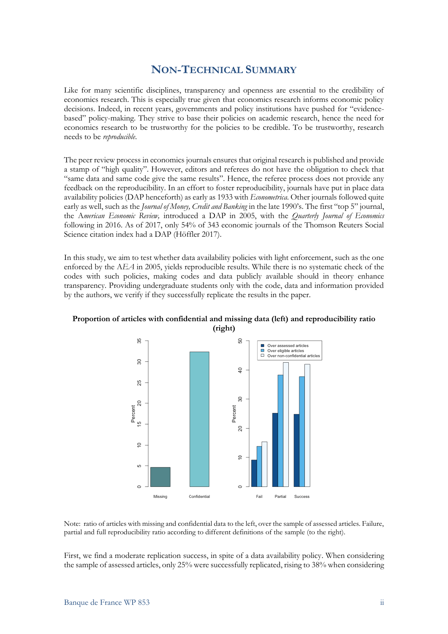## **NON-TECHNICAL SUMMARY**

Like for many scientific disciplines, transparency and openness are essential to the credibility of economics research. This is especially true given that economics research informs economic policy decisions. Indeed, in recent years, governments and policy institutions have pushed for "evidencebased" policy-making. They strive to base their policies on academic research, hence the need for economics research to be trustworthy for the policies to be credible. To be trustworthy, research needs to be *reproducible*.

The peer review process in economics journals ensures that original research is published and provide a stamp of "high quality". However, editors and referees do not have the obligation to check that "same data and same code give the same results". Hence, the referee process does not provide any feedback on the reproducibility. In an effort to foster reproducibility, journals have put in place data availability policies (DAP henceforth) as early as 1933 with *Econometrica*. Other journals followed quite early as well, such as the *Journal of Money, Credit and Banking* in the late 1990's. The first "top 5" journal, the A*merican Economic Review,* introduced a DAP in 2005, with the *Quarterly Journal of Economics* following in 2016. As of 2017, only 54% of 343 economic journals of the Thomson Reuters Social Science citation index had a DAP (Höffler 2017).

In this study, we aim to test whether data availability policies with light enforcement, such as the one enforced by the A*EA* in 2005, yields reproducible results. While there is no systematic check of the codes with such policies, making codes and data publicly available should in theory enhance transparency. Providing undergraduate students only with the code, data and information provided by the authors, we verify if they successfully replicate the results in the paper.



### **Proportion of articles with confidential and missing data (left) and reproducibility ratio (right)**

Note: ratio of articles with missing and confidential data to the left, over the sample of assessed articles. Failure, partial and full reproducibility ratio according to different definitions of the sample (to the right).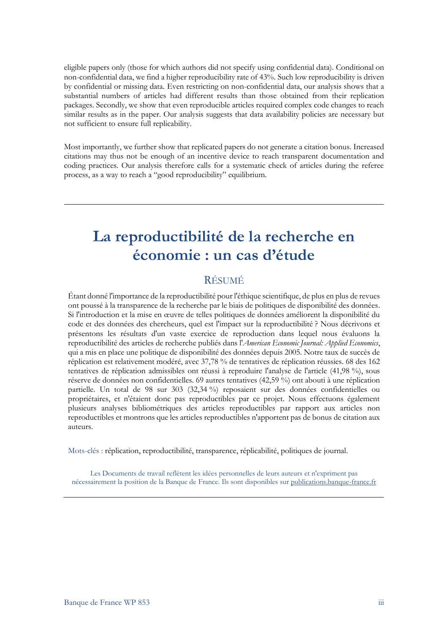First, we find a moderate replication success, in spite of a data availability policy. When considering the sample of assessed articles, only 25% were successfully replicated, rising to 38% when considering eligible papers only (those for which authors did not specify using confidential data). Conditional on non-confidential data, we find a higher reproducibility rate of 43%. Such low reproducibility is driven by confidential or missing data. Even restricting on non-confidential data, our analysis shows that a substantial numbers of articles had different results than those obtained from their replication packages. Secondly, we show that even reproducible articles required complex code changes to reach similar results as in the paper. Our analysis suggests that data availability policies are necessary but not sufficient to ensure full replicability.

Most importantly, we further show that replicated papers do not generate a citation bonus. Increased citations may thus not be enough of an incentive device to reach transparent documentation and coding practices. Our analysis therefore calls for a systematic check of articles during the referee process, as a way to reach a "good reproducibility" equilibrium.

# **La reproductibilité de la recherche en économie : un cas d'étude**

## RÉSUMÉ

Étant donné l'importance de la reproductibilité pour l'éthique scientifique, de plus en plus de revues ont poussé à la transparence de la recherche par le biais de politiques de disponibilité des données. Si l'introduction et la mise en œuvre de telles politiques de données améliorent la disponibilité du code et des données des chercheurs, quel est l'impact sur la reproductibilité ? Nous décrivons et présentons les résultats d'un vaste exercice de reproduction dans lequel nous évaluons la reproductibilité des articles de recherche publiés dans l'*American Economic Journal: Applied Economics*, qui a mis en place une politique de disponibilité des données depuis 2005. Notre taux de succès de réplication est relativement modéré, avec 37,78 % de tentatives de réplication réussies. 68 des 162 tentatives de réplication admissibles ont réussi à reproduire l'analyse de l'article (41,98 %), sous réserve de données non confidentielles. 69 autres tentatives (42,59 %) ont abouti à une réplication partielle. Un total de 98 sur 303 (32,34 %) reposaient sur des données confidentielles ou propriétaires, et n'étaient donc pas reproductibles par ce projet. Nous effectuons également plusieurs analyses bibliométriques des articles reproductibles par rapport aux articles non reproductibles et montrons que les articles reproductibles n'apportent pas de bonus de citation aux auteurs.

Mots-clés : réplication, reproductibilité, transparence, réplicabilité, politiques de journal.

Les Documents de travail reflètent les idées personnelles de leurs auteurs et n'expriment pas nécessairement la position de la Banque de France. Ils sont disponibles su[r publications.banque-france.fr](https://publications.banque-france.fr/)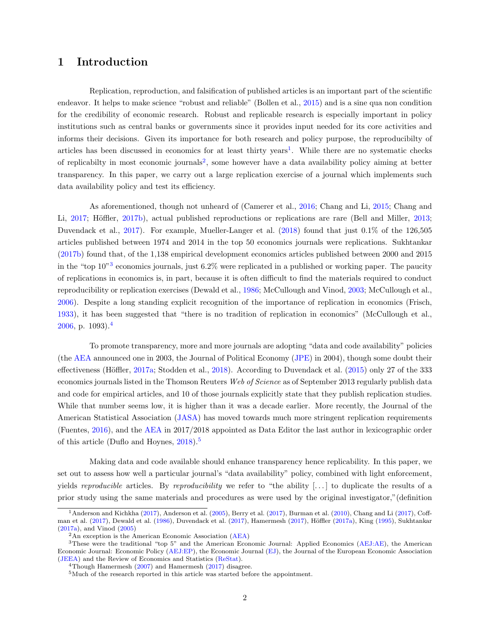### 1 Introduction

Replication, reproduction, and falsification of published articles is an important part of the scientific endeavor. It helps to make science "robust and reliable" (Bollen et al., [2015\)](#page-22-0) and is a sine qua non condition for the credibility of economic research. Robust and replicable research is especially important in policy institutions such as central banks or governments since it provides input needed for its core activities and informs their decisions. Given its importance for both research and policy purpose, the reproducibilty of articles has been discussed in economics for at least thirty years<sup>[1](#page-4-0)</sup>. While there are no systematic checks of replicabilty in most economic journals<sup>[2](#page-4-0)</sup>, some however have a data availability policy aiming at better transparency. In this paper, we carry out a large replication exercise of a journal which implements such data availability policy and test its efficiency.

As aforementioned, though not unheard of (Camerer et al., [2016;](#page-22-0) Chang and Li, [2015;](#page-22-0) Chang and Li, [2017;](#page-22-0) Höffler, [2017b\)](#page-23-0), actual published reproductions or replications are rare (Bell and Miller, [2013;](#page-22-0) Duvendack et al., [2017\)](#page-22-0). For example, Mueller-Langer et al. [\(2018\)](#page-23-0) found that just 0.1% of the 126,505 articles published between 1974 and 2014 in the top 50 economics journals were replications. Sukhtankar [\(2017b\)](#page-23-0) found that, of the 1,138 empirical development economics articles published between 2000 and 2015 in the "top  $10^{3}$  $10^{3}$  $10^{3}$ " economics journals, just 6.2% were replicated in a published or working paper. The paucity of replications in economics is, in part, because it is often difficult to find the materials required to conduct reproducibility or replication exercises (Dewald et al., [1986;](#page-22-0) McCullough and Vinod, [2003;](#page-23-0) McCullough et al., [2006\)](#page-23-0). Despite a long standing explicit recognition of the importance of replication in economics (Frisch, [1933\)](#page-22-0), it has been suggested that "there is no tradition of replication in economics" (McCullough et al.,  $2006$ , p. 1093).<sup>[4](#page-4-0)</sup>

To promote transparency, more and more journals are adopting "data and code availability" policies (the [AEA](#page-25-0) announced one in 2003, the Journal of Political Economy [\(JPE\)](#page-25-0) in 2004), though some doubt their effectiveness (Höffler, [2017a;](#page-23-0) Stodden et al., [2018\)](#page-23-0). According to Duvendack et al. [\(2015\)](#page-22-0) only 27 of the 333 economics journals listed in the Thomson Reuters Web of Science as of September 2013 regularly publish data and code for empirical articles, and 10 of those journals explicitly state that they publish replication studies. While that number seems low, it is higher than it was a decade earlier. More recently, the Journal of the American Statistical Association [\(JASA\)](#page-25-0) has moved towards much more stringent replication requirements (Fuentes, [2016\)](#page-22-0), and the [AEA](#page-25-0) in 2017/2018 appointed as Data Editor the last author in lexicographic order of this article (Duflo and Hoynes, [2018\)](#page-22-0).<sup>[5](#page-4-0)</sup>

Making data and code available should enhance transparency hence replicability. In this paper, we set out to assess how well a particular journal's "data availability" policy, combined with light enforcement, yields reproducible articles. By reproducibility we refer to "the ability  $[\ldots]$  to duplicate the results of a prior study using the same materials and procedures as were used by the original investigator,"(definition

<sup>&</sup>lt;sup>1</sup>Anderson and Kichkha [\(2017\)](#page-22-0), Anderson et al. [\(2005\)](#page-22-0), Berry et al. (2017), Burman et al. [\(2010\)](#page-22-0), Chang and Li (2017), Coff-man et al. [\(2017\)](#page-23-0), Dewald et al. [\(1986\)](#page-22-0), Duvendack et al. (2017), Hamermesh (2017), Höffler [\(2017a\)](#page-23-0), King [\(1995\)](#page-23-0), Sukhtankar [\(2017a\)](#page-23-0), and Vinod [\(2005\)](#page-23-0)

 $2\text{An exception is the American Economic Association (AEA)}$  $2\text{An exception is the American Economic Association (AEA)}$  $2\text{An exception is the American Economic Association (AEA)}$ 

<sup>3</sup>These were the traditional "top 5" and the American Economic Journal: Applied Economics [\(AEJ:AE\)](#page-25-0), the American Economic Journal: Economic Policy [\(AEJ:EP\)](#page-25-0), the Economic Journal [\(EJ\)](#page-25-0), the Journal of the European Economic Association [\(JEEA\)](#page-25-0) and the Review of Economics and Statistics [\(ReStat\)](#page-25-0).

<sup>&</sup>lt;sup>4</sup>Though Hamermesh  $(2007)$  and Hamermesh  $(2017)$  disagree.

<sup>5</sup>Much of the research reported in this article was started before the appointment.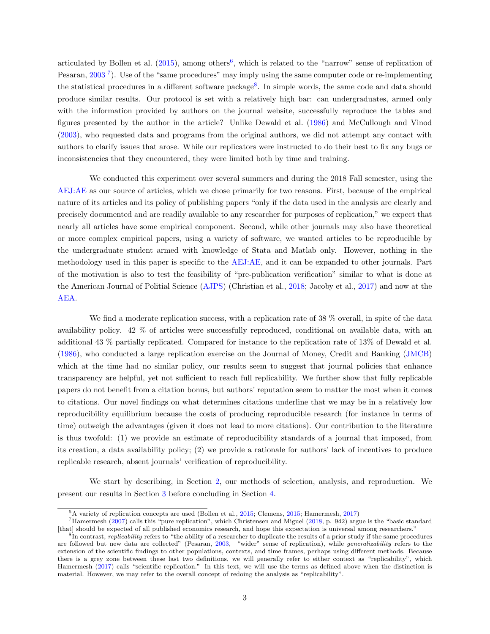<span id="page-4-0"></span>articulated by Bollen et al.  $(2015)$ , among others<sup>[6](#page-5-0)</sup>, which is related to the "narrow" sense of replication of Pesaran, [2003](#page-23-0)<sup>[7](#page-5-0)</sup>). Use of the "same procedures" may imply using the same computer code or re-implementing the statistical procedures in a different software package<sup>[8](#page-5-0)</sup>. In simple words, the same code and data should produce similar results. Our protocol is set with a relatively high bar: can undergraduates, armed only with the information provided by authors on the journal website, successfully reproduce the tables and figures presented by the author in the article? Unlike Dewald et al. [\(1986\)](#page-22-0) and McCullough and Vinod [\(2003\)](#page-23-0), who requested data and programs from the original authors, we did not attempt any contact with authors to clarify issues that arose. While our replicators were instructed to do their best to fix any bugs or inconsistencies that they encountered, they were limited both by time and training.

We conducted this experiment over several summers and during the 2018 Fall semester, using the [AEJ:AE](#page-25-0) as our source of articles, which we chose primarily for two reasons. First, because of the empirical nature of its articles and its policy of publishing papers "only if the data used in the analysis are clearly and precisely documented and are readily available to any researcher for purposes of replication," we expect that nearly all articles have some empirical component. Second, while other journals may also have theoretical or more complex empirical papers, using a variety of software, we wanted articles to be reproducible by the undergraduate student armed with knowledge of Stata and Matlab only. However, nothing in the methodology used in this paper is specific to the [AEJ:AE,](#page-25-0) and it can be expanded to other journals. Part of the motivation is also to test the feasibility of "pre-publication verification" similar to what is done at the American Journal of Politial Science [\(AJPS\)](#page-25-0) (Christian et al., [2018;](#page-22-0) Jacoby et al., [2017\)](#page-23-0) and now at the [AEA.](#page-25-0)

We find a moderate replication success, with a replication rate of 38 % overall, in spite of the data availability policy. 42 % of articles were successfully reproduced, conditional on available data, with an additional 43 % partially replicated. Compared for instance to the replication rate of 13% of Dewald et al. [\(1986\)](#page-22-0), who conducted a large replication exercise on the Journal of Money, Credit and Banking [\(JMCB\)](#page-25-0) which at the time had no similar policy, our results seem to suggest that journal policies that enhance transparency are helpful, yet not sufficient to reach full replicability. We further show that fully replicable papers do not benefit from a citation bonus, but authors' reputation seem to matter the most when it comes to citations. Our novel findings on what determines citations underline that we may be in a relatively low reproducibility equilibrium because the costs of producing reproducible research (for instance in terms of time) outweigh the advantages (given it does not lead to more citations). Our contribution to the literature is thus twofold: (1) we provide an estimate of reproducibility standards of a journal that imposed, from its creation, a data availability policy; (2) we provide a rationale for authors' lack of incentives to produce replicable research, absent journals' verification of reproducibility.

We start by describing, in Section [2,](#page-6-0) our methods of selection, analysis, and reproduction. We present our results in Section [3](#page-10-0) before concluding in Section [4.](#page-17-0)

 $6A$  variety of replication concepts are used (Bollen et al., [2015;](#page-22-0) Clemens, 2015; Hamermesh, [2017\)](#page-23-0)

<sup>7</sup>Hamermesh [\(2007\)](#page-22-0) calls this "pure replication", which Christensen and Miguel [\(2018,](#page-22-0) p. 942) argue is the "basic standard [that] should be expected of all published economics research, and hope this expectation is universal among researchers."

 ${}^{8}$ In contrast, *replicability* refers to "the ability of a researcher to duplicate the results of a prior study if the same procedures are followed but new data are collected" (Pesaran, [2003,](#page-23-0) "wider" sense of replication), while generalizability refers to the extension of the scientific findings to other populations, contexts, and time frames, perhaps using different methods. Because there is a grey zone between these last two definitions, we will generally refer to either context as "replicability", which Hamermesh [\(2017\)](#page-23-0) calls "scientific replication." In this text, we will use the terms as defined above when the distinction is material. However, we may refer to the overall concept of redoing the analysis as "replicability".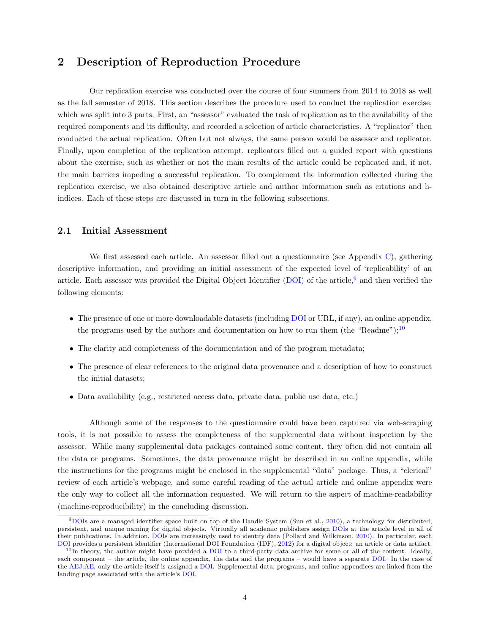### <span id="page-5-0"></span>2 Description of Reproduction Procedure

Our replication exercise was conducted over the course of four summers from 2014 to 2018 as well as the fall semester of 2018. This section describes the procedure used to conduct the replication exercise, which was split into 3 parts. First, an "assessor" evaluated the task of replication as to the availability of the required components and its difficulty, and recorded a selection of article characteristics. A "replicator" then conducted the actual replication. Often but not always, the same person would be assessor and replicator. Finally, upon completion of the replication attempt, replicators filled out a guided report with questions about the exercise, such as whether or not the main results of the article could be replicated and, if not, the main barriers impeding a successful replication. To complement the information collected during the replication exercise, we also obtained descriptive article and author information such as citations and hindices. Each of these steps are discussed in turn in the following subsections.

#### 2.1 Initial Assessment

We first assessed each article. An assessor filled out a questionnaire (see Appendix [C\)](#page-26-0), gathering descriptive information, and providing an initial assessment of the expected level of 'replicability' of an article. Each assessor was provided the Digital Object Identifier [\(DOI\)](#page-25-0) of the article,[9](#page-6-0) and then verified the following elements:

- The presence of one or more downloadable datasets (including [DOI](#page-25-0) or URL, if any), an online appendix, the programs used by the authors and documentation on how to run them (the "Readme");<sup>[10](#page-6-0)</sup>
- The clarity and completeness of the documentation and of the program metadata;
- The presence of clear references to the original data provenance and a description of how to construct the initial datasets;
- Data availability (e.g., restricted access data, private data, public use data, etc.)

Although some of the responses to the questionnaire could have been captured via web-scraping tools, it is not possible to assess the completeness of the supplemental data without inspection by the assessor. While many supplemental data packages contained some content, they often did not contain all the data or programs. Sometimes, the data provenance might be described in an online appendix, while the instructions for the programs might be enclosed in the supplemental "data" package. Thus, a "clerical" review of each article's webpage, and some careful reading of the actual article and online appendix were the only way to collect all the information requested. We will return to the aspect of machine-readability (machine-reproducibility) in the concluding discussion.

 $9DOS$  are a managed identifier space built on top of the Handle System (Sun et al., [2010\)](#page-23-0), a technology for distributed, persistent, and unique naming for digital objects. Virtually all academic publishers assign [DOIs](#page-25-0) at the article level in all of their publications. In addition, [DOIs](#page-25-0) are increasingly used to identify data (Pollard and Wilkinson, [2010\)](#page-23-0). In particular, each [DOI](#page-25-0) provides a persistent identifier (International DOI Foundation (IDF), [2012\)](#page-23-0) for a digital object: an article or data artifact.

 $10$ In theory, the author might have provided a [DOI](#page-25-0) to a third-party data archive for some or all of the content. Ideally, each component – the article, the online appendix, the data and the programs – would have a separate [DOI.](#page-25-0) In the case of the [AEJ:AE,](#page-25-0) only the article itself is assigned a [DOI.](#page-25-0) Supplemental data, programs, and online appendices are linked from the landing page associated with the article's [DOI.](#page-25-0)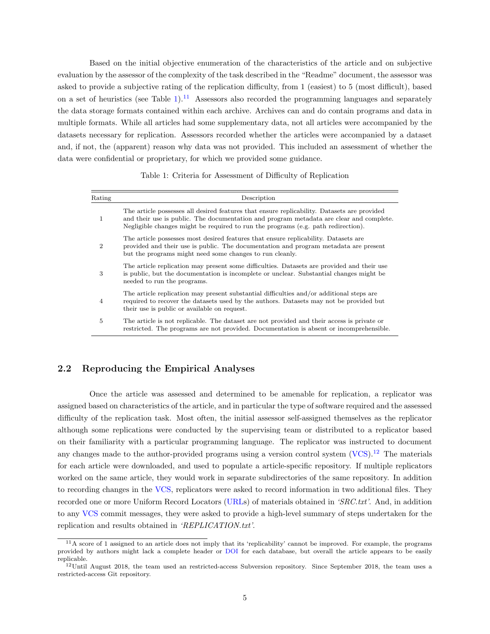<span id="page-6-0"></span>Based on the initial objective enumeration of the characteristics of the article and on subjective evaluation by the assessor of the complexity of the task described in the "Readme" document, the assessor was asked to provide a subjective rating of the replication difficulty, from 1 (easiest) to 5 (most difficult), based on a set of heuristics (see Table [1\)](#page-7-0).<sup>[11](#page-7-0)</sup> Assessors also recorded the programming languages and separately the data storage formats contained within each archive. Archives can and do contain programs and data in multiple formats. While all articles had some supplementary data, not all articles were accompanied by the datasets necessary for replication. Assessors recorded whether the articles were accompanied by a dataset and, if not, the (apparent) reason why data was not provided. This included an assessment of whether the data were confidential or proprietary, for which we provided some guidance.

Table 1: Criteria for Assessment of Difficulty of Replication

| Rating         | Description                                                                                                                                                                                                                                                                 |
|----------------|-----------------------------------------------------------------------------------------------------------------------------------------------------------------------------------------------------------------------------------------------------------------------------|
| 1              | The article possesses all desired features that ensure replicability. Datasets are provided<br>and their use is public. The documentation and program metadata are clear and complete.<br>Negligible changes might be required to run the programs (e.g. path redirection). |
| 2              | The article possesses most desired features that ensure replicability. Datasets are<br>provided and their use is public. The documentation and program metadata are present<br>but the programs might need some changes to run cleanly.                                     |
| 3              | The article replication may present some difficulties. Datasets are provided and their use<br>is public, but the documentation is incomplete or unclear. Substantial changes might be<br>needed to run the programs.                                                        |
| $\overline{4}$ | The article replication may present substantial difficulties and/or additional steps are<br>required to recover the datasets used by the authors. Datasets may not be provided but<br>their use is public or available on request.                                          |
| 5              | The article is not replicable. The dataset are not provided and their access is private or<br>restricted. The programs are not provided. Documentation is absent or incomprehensible.                                                                                       |

### 2.2 Reproducing the Empirical Analyses

Once the article was assessed and determined to be amenable for replication, a replicator was assigned based on characteristics of the article, and in particular the type of software required and the assessed difficulty of the replication task. Most often, the initial assessor self-assigned themselves as the replicator although some replications were conducted by the supervising team or distributed to a replicator based on their familiarity with a particular programming language. The replicator was instructed to document any changes made to the author-provided programs using a version control system  $(VCS)$ .<sup>[12](#page-7-0)</sup> The materials for each article were downloaded, and used to populate a article-specific repository. If multiple replicators worked on the same article, they would work in separate subdirectories of the same repository. In addition to recording changes in the [VCS,](#page-25-0) replicators were asked to record information in two additional files. They recorded one or more Uniform Record Locators [\(URLs](#page-25-0)) of materials obtained in 'SRC.txt'. And, in addition to any [VCS](#page-25-0) commit messages, they were asked to provide a high-level summary of steps undertaken for the replication and results obtained in 'REPLICATION.txt'.

 $11A$  score of 1 assigned to an article does not imply that its 'replicability' cannot be improved. For example, the programs provided by authors might lack a complete header or [DOI](#page-25-0) for each database, but overall the article appears to be easily replicable.

 $12$ Until August 2018, the team used an restricted-access Subversion repository. Since September 2018, the team uses a restricted-access Git repository.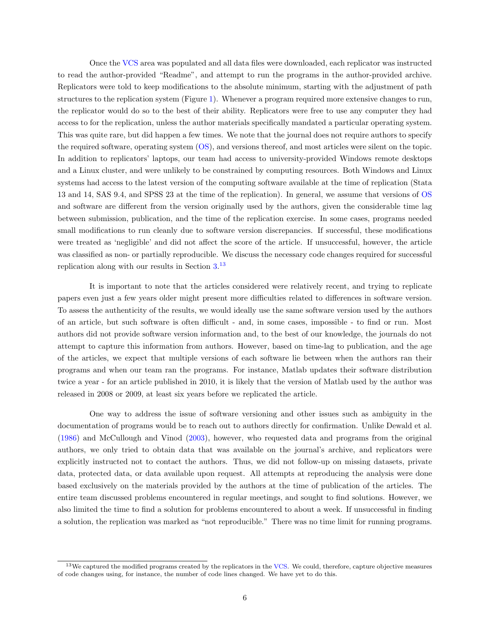<span id="page-7-0"></span>Once the [VCS](#page-25-0) area was populated and all data files were downloaded, each replicator was instructed to read the author-provided "Readme", and attempt to run the programs in the author-provided archive. Replicators were told to keep modifications to the absolute minimum, starting with the adjustment of path structures to the replication system (Figure [1\)](#page-9-0). Whenever a program required more extensive changes to run, the replicator would do so to the best of their ability. Replicators were free to use any computer they had access to for the replication, unless the author materials specifically mandated a particular operating system. This was quite rare, but did happen a few times. We note that the journal does not require authors to specify the required software, operating system [\(OS\)](#page-25-0), and versions thereof, and most articles were silent on the topic. In addition to replicators' laptops, our team had access to university-provided Windows remote desktops and a Linux cluster, and were unlikely to be constrained by computing resources. Both Windows and Linux systems had access to the latest version of the computing software available at the time of replication (Stata 13 and 14, SAS 9.4, and SPSS 23 at the time of the replication). In general, we assume that versions of [OS](#page-25-0) and software are different from the version originally used by the authors, given the considerable time lag between submission, publication, and the time of the replication exercise. In some cases, programs needed small modifications to run cleanly due to software version discrepancies. If successful, these modifications were treated as 'negligible' and did not affect the score of the article. If unsuccessful, however, the article was classified as non- or partially reproducible. We discuss the necessary code changes required for successful replication along with our results in Section [3.](#page-10-0) [13](#page-8-0)

It is important to note that the articles considered were relatively recent, and trying to replicate papers even just a few years older might present more difficulties related to differences in software version. To assess the authenticity of the results, we would ideally use the same software version used by the authors of an article, but such software is often difficult - and, in some cases, impossible - to find or run. Most authors did not provide software version information and, to the best of our knowledge, the journals do not attempt to capture this information from authors. However, based on time-lag to publication, and the age of the articles, we expect that multiple versions of each software lie between when the authors ran their programs and when our team ran the programs. For instance, Matlab updates their software distribution twice a year - for an article published in 2010, it is likely that the version of Matlab used by the author was released in 2008 or 2009, at least six years before we replicated the article.

One way to address the issue of software versioning and other issues such as ambiguity in the documentation of programs would be to reach out to authors directly for confirmation. Unlike Dewald et al. [\(1986\)](#page-22-0) and McCullough and Vinod [\(2003\)](#page-23-0), however, who requested data and programs from the original authors, we only tried to obtain data that was available on the journal's archive, and replicators were explicitly instructed not to contact the authors. Thus, we did not follow-up on missing datasets, private data, protected data, or data available upon request. All attempts at reproducing the analysis were done based exclusively on the materials provided by the authors at the time of publication of the articles. The entire team discussed problems encountered in regular meetings, and sought to find solutions. However, we also limited the time to find a solution for problems encountered to about a week. If unsuccessful in finding a solution, the replication was marked as "not reproducible." There was no time limit for running programs.

 $13$ We captured the modified programs created by the replicators in the [VCS.](#page-25-0) We could, therefore, capture objective measures of code changes using, for instance, the number of code lines changed. We have yet to do this.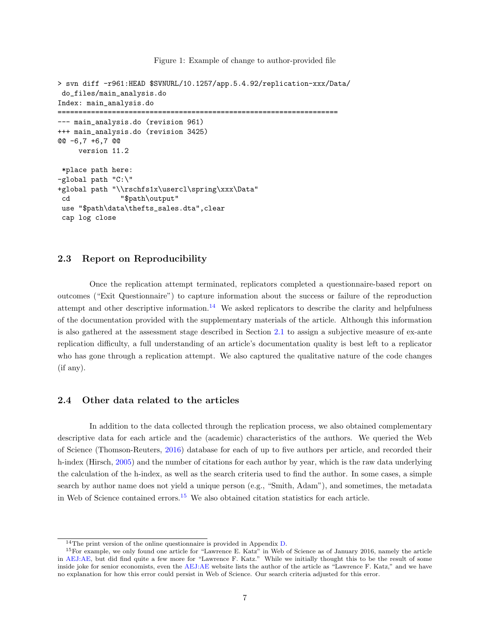Figure 1: Example of change to author-provided file

```
> svn diff -r961:HEAD $SVNURL/10.1257/app.5.4.92/replication-xxx/Data/
do_files/main_analysis.do
Index: main_analysis.do
===================================================================
--- main_analysis.do (revision 961)
+++ main_analysis.do (revision 3425)
@@ -6,7 +6,7 @@
     version 11.2
*place path here:
-global path "C:\"
+global path "\\rschfs1x\usercl\spring\xxx\Data"
 cd "$path\output"
use "$path\data\thefts_sales.dta",clear
 cap log close
```
#### 2.3 Report on Reproducibility

Once the replication attempt terminated, replicators completed a questionnaire-based report on outcomes ("Exit Questionnaire") to capture information about the success or failure of the reproduction attempt and other descriptive information.<sup>[14](#page-9-0)</sup> We asked replicators to describe the clarity and helpfulness of the documentation provided with the supplementary materials of the article. Although this information is also gathered at the assessment stage described in Section [2.1](#page-6-0) to assign a subjective measure of ex-ante replication difficulty, a full understanding of an article's documentation quality is best left to a replicator who has gone through a replication attempt. We also captured the qualitative nature of the code changes (if any).

### 2.4 Other data related to the articles

In addition to the data collected through the replication process, we also obtained complementary descriptive data for each article and the (academic) characteristics of the authors. We queried the Web of Science (Thomson-Reuters, [2016\)](#page-23-0) database for each of up to five authors per article, and recorded their h-index (Hirsch, [2005\)](#page-23-0) and the number of citations for each author by year, which is the raw data underlying the calculation of the h-index, as well as the search criteria used to find the author. In some cases, a simple search by author name does not yield a unique person (e.g., "Smith, Adam"), and sometimes, the metadata in Web of Science contained errors.<sup>[15](#page-9-0)</sup> We also obtained citation statistics for each article.

<sup>&</sup>lt;sup>14</sup>The print version of the online questionnaire is provided in Appendix  $D$ .

<sup>&</sup>lt;sup>15</sup>For example, we only found one article for "Lawrence E. Katz" in Web of Science as of January 2016, namely the article in [AEJ:AE,](#page-25-0) but did find quite a few more for "Lawrence F. Katz." While we initially thought this to be the result of some inside joke for senior economists, even the [AEJ:AE](#page-25-0) website lists the author of the article as "Lawrence F. Katz," and we have no explanation for how this error could persist in Web of Science. Our search criteria adjusted for this error.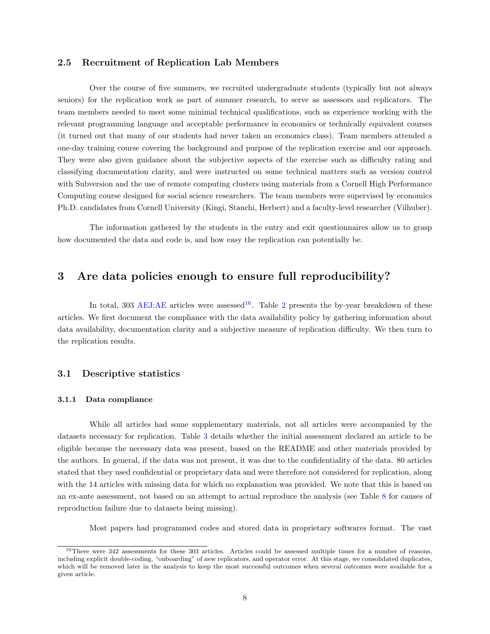#### <span id="page-9-0"></span>2.5 Recruitment of Replication Lab Members

Over the course of five summers, we recruited undergraduate students (typically but not always seniors) for the replication work as part of summer research, to serve as assessors and replicators. The team members needed to meet some minimal technical qualifications, such as experience working with the relevant programming language and acceptable performance in economics or technically equivalent courses (it turned out that many of our students had never taken an economics class). Team members attended a one-day training course covering the background and purpose of the replication exercise and our approach. They were also given guidance about the subjective aspects of the exercise such as difficulty rating and classifying documentation clarity, and were instructed on some technical matters such as version control with Subversion and the use of remote computing clusters using materials from a Cornell High Performance Computing course designed for social science researchers. The team members were supervised by economics Ph.D. candidates from Cornell University (Kingi, Stanchi, Herbert) and a faculty-level researcher (Vilhuber).

The information gathered by the students in the entry and exit questionnaires allow us to grasp how documented the data and code is, and how easy the replication can potentially be.

### 3 Are data policies enough to ensure full reproducibility?

In total, 303 [AEJ:AE](#page-25-0) articles were assessed<sup>[16](#page-10-0)</sup>. Table [2](#page-11-0) presents the by-year breakdown of these articles. We first document the compliance with the data availability policy by gathering information about data availability, documentation clarity and a subjective measure of replication difficulty. We then turn to the replication results.

### 3.1 Descriptive statistics

#### 3.1.1 Data compliance

While all articles had some supplementary materials, not all articles were accompanied by the datasets necessary for replication. Table [3](#page-11-0) details whether the initial assessment declared an article to be eligible because the necessary data was present, based on the README and other materials provided by the authors. In general, if the data was not present, it was due to the confidentiality of the data. 80 articles stated that they used confidential or proprietary data and were therefore not considered for replication, along with the 14 articles with missing data for which no explanation was provided. We note that this is based on an ex-ante assessment, not based on an attempt to actual reproduce the analysis (see Table [8](#page-15-0) for causes of reproduction failure due to datasets being missing).

Most papers had programmed codes and stored data in proprietary softwares format. The vast

<sup>16</sup>There were 342 assessments for these 303 articles. Articles could be assessed multiple times for a number of reasons, including explicit double-coding, "onboarding" of new replicators, and operator error. At this stage, we consolidated duplicates, which will be removed later in the analysis to keep the most successful outcomes when several outcomes were available for a given article.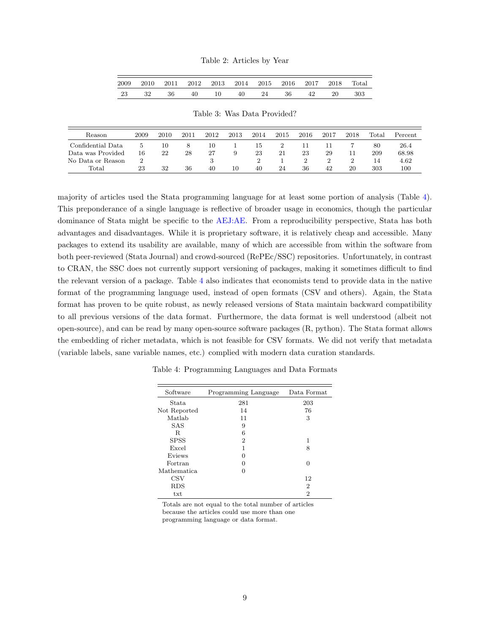|  |  | Table 2: Articles by Year |  |  |
|--|--|---------------------------|--|--|
|--|--|---------------------------|--|--|

<span id="page-10-0"></span>

| 2009 | 2010 | 2011 | 2012 2013 2014 2015 2016 2017 |    |    |    |    |    | 2018 | $_{\rm Total}$ |
|------|------|------|-------------------------------|----|----|----|----|----|------|----------------|
| 23   | 32   | 36   | 40                            | 10 | 40 | 24 | 36 | 42 | 20   | 303            |

Table 3: Was Data Provided?

| Reason            | 2009 | 2010 | 2011 | 2012 | 2013 | 2014 | 2015 | 2016 | 2017 | 2018 | $\text{Total}$ | Percent |
|-------------------|------|------|------|------|------|------|------|------|------|------|----------------|---------|
| Confidential Data |      | 10   | ×.   | 10   |      | Тp   |      |      |      |      | 80             | 26.4    |
| Data was Provided | 16   | 22   | 28   | 27   | 9    | 23   | 21   | 23   | 29   |      | 209            | 68.98   |
| No Data or Reason |      |      |      |      |      |      |      |      |      |      | 14             | 4.62    |
| Total             | 23   | 32   | 36   | 40   | 10   | 40   | 24   | 36   | 42   | 20   | 303            | 100     |

majority of articles used the Stata programming language for at least some portion of analysis (Table [4\)](#page-11-0). This preponderance of a single language is reflective of broader usage in economics, though the particular dominance of Stata might be specific to the [AEJ:AE.](#page-25-0) From a reproducibility perspective, Stata has both advantages and disadvantages. While it is proprietary software, it is relatively cheap and accessible. Many packages to extend its usability are available, many of which are accessible from within the software from both peer-reviewed (Stata Journal) and crowd-sourced (RePEc/SSC) repositories. Unfortunately, in contrast to CRAN, the SSC does not currently support versioning of packages, making it sometimes difficult to find the relevant version of a package. Table [4](#page-11-0) also indicates that economists tend to provide data in the native format of the programming language used, instead of open formats (CSV and others). Again, the Stata format has proven to be quite robust, as newly released versions of Stata maintain backward compatibility to all previous versions of the data format. Furthermore, the data format is well understood (albeit not open-source), and can be read by many open-source software packages (R, python). The Stata format allows the embedding of richer metadata, which is not feasible for CSV formats. We did not verify that metadata (variable labels, sane variable names, etc.) complied with modern data curation standards.

| Software           | Programming Language | Data Format |
|--------------------|----------------------|-------------|
| Stata.             | 281                  | 203         |
| Not Reported       | 14                   | 76          |
| Matlab             | 11                   | 3           |
| SAS                | 9                    |             |
| R                  | 6                    |             |
| <b>SPSS</b>        | 2                    | 1           |
| Excel              | 1                    | 8           |
| Eviews             | 0                    |             |
| Fortran            | 0                    | 0           |
| <b>Mathematica</b> | $\mathbf{\Omega}$    |             |
| <b>CSV</b>         |                      | 12          |
| <b>RDS</b>         |                      | 2           |
| txt                |                      | 2           |

Table 4: Programming Languages and Data Formats

Totals are not equal to the total number of articles because the articles could use more than one programming language or data format.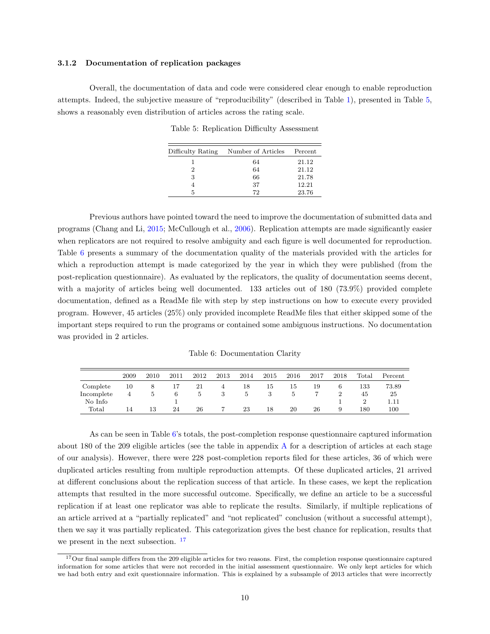#### <span id="page-11-0"></span>3.1.2 Documentation of replication packages

Overall, the documentation of data and code were considered clear enough to enable reproduction attempts. Indeed, the subjective measure of "reproducibility" (described in Table [1\)](#page-7-0), presented in Table [5,](#page-12-0) shows a reasonably even distribution of articles across the rating scale.

Table 5: Replication Difficulty Assessment

| Difficulty Rating | Number of Articles | Percent |
|-------------------|--------------------|---------|
|                   | 64                 | 21.12   |
| 2                 | 64                 | 21.12   |
| 3                 | 66                 | 21.78   |
|                   | 37                 | 12.21   |
| 5                 | 72                 | 23.76   |

Previous authors have pointed toward the need to improve the documentation of submitted data and programs (Chang and Li, [2015;](#page-22-0) McCullough et al., [2006\)](#page-23-0). Replication attempts are made significantly easier when replicators are not required to resolve ambiguity and each figure is well documented for reproduction. Table [6](#page-12-0) presents a summary of the documentation quality of the materials provided with the articles for which a reproduction attempt is made categorized by the year in which they were published (from the post-replication questionnaire). As evaluated by the replicators, the quality of documentation seems decent, with a majority of articles being well documented. 133 articles out of 180 (73.9%) provided complete documentation, defined as a ReadMe file with step by step instructions on how to execute every provided program. However, 45 articles (25%) only provided incomplete ReadMe files that either skipped some of the important steps required to run the programs or contained some ambiguous instructions. No documentation was provided in 2 articles.

Table 6: Documentation Clarity

|            | 2009 | 2010 | 2011 | 2012 | 2013 | 2014 | 2015 | 2016 | 2017 | 2018 | $_{\rm Total}$ | Percent |
|------------|------|------|------|------|------|------|------|------|------|------|----------------|---------|
| Complete   | 10   | 8    |      | 21   |      | 18   | 15   | 15   | 19   | O    | 133            | 73.89   |
| Incomplete | 4    |      | 6    |      |      |      |      |      |      |      | 45             | 25      |
| No Info    |      |      |      |      |      |      |      |      |      |      |                |         |
| Total      | 14   | 13   | 24   | 26   |      | 23   | 18   | 20   | 26   | 9    | 180            | 100     |

As can be seen in Table [6'](#page-12-0)s totals, the post-completion response questionnaire captured information about 180 of the 209 eligible articles (see the table in appendix [A](#page-24-0) for a description of articles at each stage of our analysis). However, there were 228 post-completion reports filed for these articles, 36 of which were duplicated articles resulting from multiple reproduction attempts. Of these duplicated articles, 21 arrived at different conclusions about the replication success of that article. In these cases, we kept the replication attempts that resulted in the more successful outcome. Specifically, we define an article to be a successful replication if at least one replicator was able to replicate the results. Similarly, if multiple replications of an article arrived at a "partially replicated" and "not replicated" conclusion (without a successful attempt), then we say it was partially replicated. This categorization gives the best chance for replication, results that we present in the next subsection. <sup>[17](#page-12-0)</sup>

<sup>&</sup>lt;sup>17</sup>Our final sample differs from the 209 eligible articles for two reasons. First, the completion response questionnaire captured information for some articles that were not recorded in the initial assessment questionnaire. We only kept articles for which we had both entry and exit questionnaire information. This is explained by a subsample of 2013 articles that were incorrectly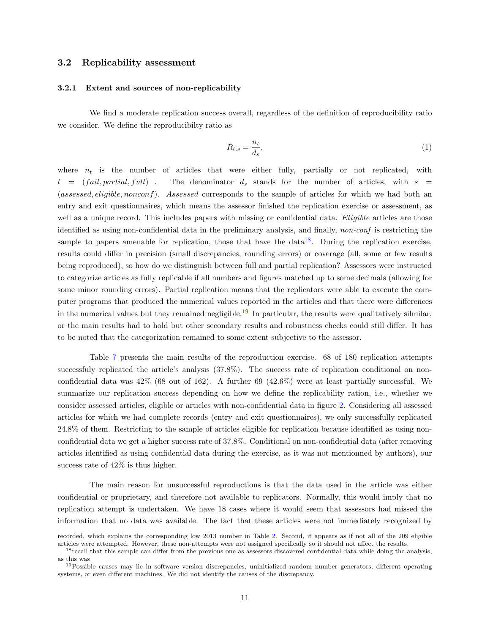#### <span id="page-12-0"></span>3.2 Replicability assessment

#### 3.2.1 Extent and sources of non-replicability

We find a moderate replication success overall, regardless of the definition of reproducibility ratio we consider. We define the reproducibilty ratio as

$$
R_{t,s} = \frac{n_t}{d_s},\tag{1}
$$

where  $n_t$  is the number of articles that were either fully, partially or not replicated, with  $t = (fail, partial, full)$ . The denominator  $d_s$  stands for the number of articles, with  $s =$ (assessed, eligible, nonconf). Assessed corresponds to the sample of articles for which we had both an entry and exit questionnaires, which means the assessor finished the replication exercise or assessment, as well as a unique record. This includes papers with missing or confidential data. Eligible articles are those identified as using non-confidential data in the preliminary analysis, and finally, non-conf is restricting the sample to papers amenable for replication, those that have the  $data^{18}$  $data^{18}$  $data^{18}$ . During the replication exercise, results could differ in precision (small discrepancies, rounding errors) or coverage (all, some or few results being reproduced), so how do we distinguish between full and partial replication? Assessors were instructed to categorize articles as fully replicable if all numbers and figures matched up to some decimals (allowing for some minor rounding errors). Partial replication means that the replicators were able to execute the computer programs that produced the numerical values reported in the articles and that there were differences in the numerical values but they remained negligible.<sup>[19](#page-13-0)</sup> In particular, the results were qualitatively silmilar, or the main results had to hold but other secondary results and robustness checks could still differ. It has to be noted that the categorization remained to some extent subjective to the assessor.

Table [7](#page-15-0) presents the main results of the reproduction exercise. 68 of 180 replication attempts successfuly replicated the article's analysis  $(37.8\%)$ . The success rate of replication conditional on nonconfidential data was 42% (68 out of 162). A further 69 (42.6%) were at least partially successful. We summarize our replication success depending on how we define the replicability ration, i.e., whether we consider assessed articles, eligible or articles with non-confidential data in figure [2.](#page-14-0) Considering all assessed articles for which we had complete records (entry and exit questionnaires), we only successfully replicated 24.8% of them. Restricting to the sample of articles eligible for replication because identified as using nonconfidential data we get a higher success rate of 37.8%. Conditional on non-confidential data (after removing articles identified as using confidential data during the exercise, as it was not mentionned by authors), our success rate of 42% is thus higher.

The main reason for unsuccessful reproductions is that the data used in the article was either confidential or proprietary, and therefore not available to replicators. Normally, this would imply that no replication attempt is undertaken. We have 18 cases where it would seem that assessors had missed the information that no data was available. The fact that these articles were not immediately recognized by

recorded, which explains the corresponding low 2013 number in Table [2.](#page-11-0) Second, it appears as if not all of the 209 eligible articles were attempted. However, these non-attempts were not assigned specifically so it should not affect the results.

<sup>&</sup>lt;sup>18</sup> recall that this sample can differ from the previous one as assessors discovered confidential data while doing the analysis, as this was

 $19$ Possible causes may lie in software version discrepancies, uninitialized random number generators, different operating systems, or even different machines. We did not identify the causes of the discrepancy.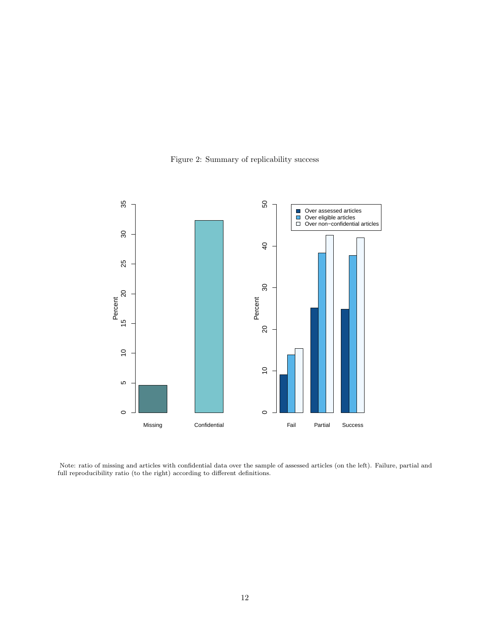<span id="page-13-0"></span>

Figure 2: Summary of replicability success

Note: ratio of missing and articles with confidential data over the sample of assessed articles (on the left). Failure, partial and full reproducibility ratio (to the right) according to different definitions.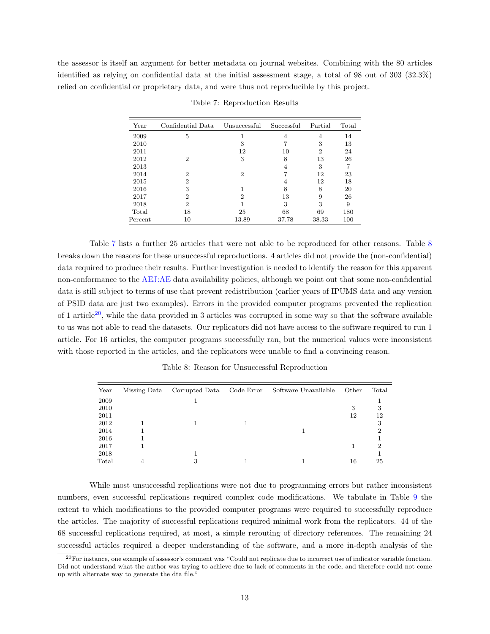<span id="page-14-0"></span>the assessor is itself an argument for better metadata on journal websites. Combining with the 80 articles identified as relying on confidential data at the initial assessment stage, a total of 98 out of 303 (32.3%) relied on confidential or proprietary data, and were thus not reproducible by this project.

| Year    | Confidential Data | Unsuccessful   | Successful | Partial        | Total |
|---------|-------------------|----------------|------------|----------------|-------|
| 2009    | 5                 |                | 4          | 4              | 14    |
| 2010    |                   | 3              |            | 3              | 13    |
| 2011    |                   | 12             | 10         | $\overline{2}$ | 24    |
| 2012    | 2                 | 3              | 8          | 13             | 26    |
| 2013    |                   |                | 4          | 3              | 7     |
| 2014    | 2                 | $\overline{2}$ | 7          | 12             | 23    |
| 2015    | 2                 |                | 4          | 12             | 18    |
| 2016    | 3                 |                | 8          | 8              | 20    |
| 2017    | 2                 | 2              | 13         | 9              | 26    |
| 2018    | 2                 |                | 3          | 3              | 9     |
| Total   | 18                | 25             | 68         | 69             | 180   |
| Percent | 10                | 13.89          | 37.78      | 38.33          | 100   |

Table 7: Reproduction Results

Table [7](#page-15-0) lists a further 25 articles that were not able to be reproduced for other reasons. Table [8](#page-15-0) breaks down the reasons for these unsuccessful reproductions. 4 articles did not provide the (non-confidential) data required to produce their results. Further investigation is needed to identify the reason for this apparent non-conformance to the [AEJ:AE](#page-25-0) data availability policies, although we point out that some non-confidential data is still subject to terms of use that prevent redistribution (earlier years of IPUMS data and any version of PSID data are just two examples). Errors in the provided computer programs prevented the replication of 1 article<sup>[20](#page-15-0)</sup>, while the data provided in 3 articles was corrupted in some way so that the software available to us was not able to read the datasets. Our replicators did not have access to the software required to run 1 article. For 16 articles, the computer programs successfully ran, but the numerical values were inconsistent with those reported in the articles, and the replicators were unable to find a convincing reason.

|  |  |  | Table 8: Reason for Unsuccessful Reproduction |  |  |
|--|--|--|-----------------------------------------------|--|--|
|--|--|--|-----------------------------------------------|--|--|

| Year  | Missing Data | Corrupted Data Code Error | Software Unavailable | Other | Total |
|-------|--------------|---------------------------|----------------------|-------|-------|
| 2009  |              |                           |                      |       |       |
| 2010  |              |                           |                      | 3     | 3     |
| 2011  |              |                           |                      | 12    | 12    |
| 2012  |              |                           |                      |       | 3     |
| 2014  |              |                           |                      |       | റ     |
| 2016  |              |                           |                      |       |       |
| 2017  |              |                           |                      |       | າ     |
| 2018  |              |                           |                      |       |       |
| Total |              | 3                         |                      | 16    | 25    |

While most unsuccessful replications were not due to programming errors but rather inconsistent numbers, even successful replications required complex code modifications. We tabulate in Table [9](#page-16-0) the extent to which modifications to the provided computer programs were required to successfully reproduce the articles. The majority of successful replications required minimal work from the replicators. 44 of the 68 successful replications required, at most, a simple rerouting of directory references. The remaining 24 successful articles required a deeper understanding of the software, and a more in-depth analysis of the

 $^{20}$ For instance, one example of assessor's comment was "Could not replicate due to incorrect use of indicator variable function. Did not understand what the author was trying to achieve due to lack of comments in the code, and therefore could not come up with alternate way to generate the dta file."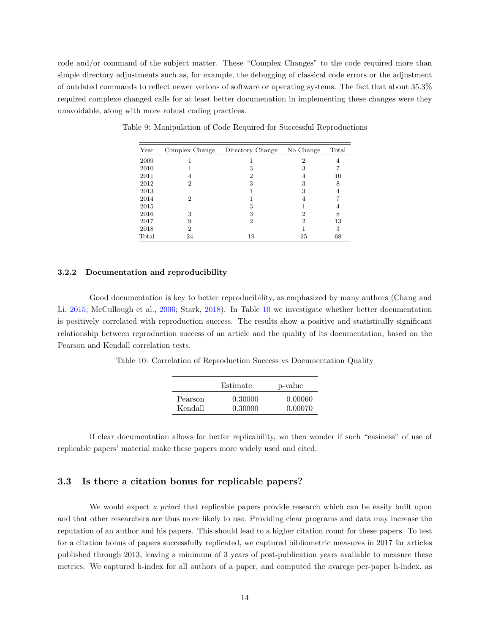<span id="page-15-0"></span>code and/or command of the subject matter. These "Complex Changes" to the code required more than simple directory adjustments such as, for example, the debugging of classical code errors or the adjustment of outdated commands to reflect newer verions of software or operating systems. The fact that about 35.3% required complexe changed calls for at least better documenation in implementing these changes were they unavoidable, along with more robust coding practices.

| Year  | Complex Change | Directory Change | No Change | Total |
|-------|----------------|------------------|-----------|-------|
| 2009  |                |                  | 2         |       |
| 2010  |                | З                | 3         |       |
| 2011  |                | 2                | 4         | 10    |
| 2012  | 2              | 3                | 3         | 8     |
| 2013  |                |                  | 3         |       |
| 2014  | 2              |                  |           |       |
| 2015  |                | 3                |           |       |
| 2016  | 3              | 3                | 2         | 8     |
| 2017  | 9              | 2                | 2         | 13    |
| 2018  | 2              |                  |           | 3     |
| Total | 24             | 19               | 25        | 68    |

Table 9: Manipulation of Code Required for Successful Reproductions

#### 3.2.2 Documentation and reproducibility

Good documentation is key to better reproducibility, as emphasized by many authors (Chang and Li, [2015;](#page-22-0) McCullough et al., [2006;](#page-23-0) Stark, [2018\)](#page-23-0). In Table [10](#page-16-0) we investigate whether better documentation is positively correlated with reproduction success. The results show a positive and statistically significant relationship between reproduction success of an article and the quality of its documentation, based on the Pearson and Kendall correlation tests.

Table 10: Correlation of Reproduction Success vs Documentation Quality

|         | Estimate | p-value |
|---------|----------|---------|
| Pearson | 0.30000  | 0.00060 |
| Kendall | 0.30000  | 0.00070 |

If clear documentation allows for better replicability, we then wonder if such "easiness" of use of replicable papers' material make these papers more widely used and cited.

### 3.3 Is there a citation bonus for replicable papers?

We would expect a priori that replicable papers provide research which can be easily built upon and that other researchers are thus more likely to use. Providing clear programs and data may increase the reputation of an author and his papers. This should lead to a higher citation count for these papers. To test for a citation bonus of papers successfully replicated, we captured bibliometric measures in 2017 for articles published through 2013, leaving a minimum of 3 years of post-publication years available to measure these metrics. We captured h-index for all authors of a paper, and computed the avarege per-paper h-index, as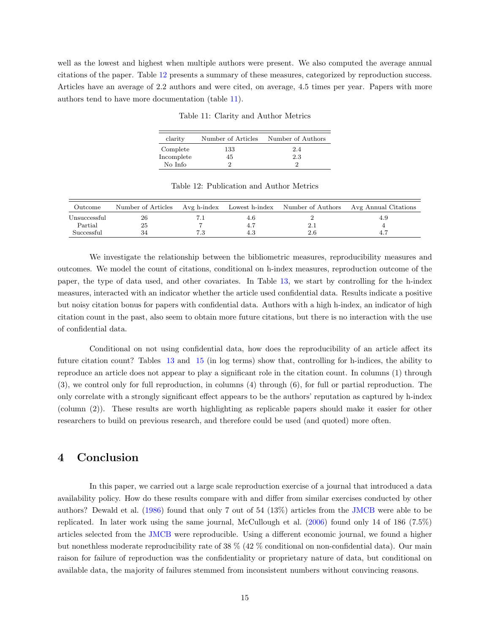<span id="page-16-0"></span>well as the lowest and highest when multiple authors were present. We also computed the average annual citations of the paper. Table [12](#page-17-0) presents a summary of these measures, categorized by reproduction success. Articles have an average of 2.2 authors and were cited, on average, 4.5 times per year. Papers with more authors tend to have more documentation (table [11\)](#page-17-0).

Table 11: Clarity and Author Metrics

| clarity    | Number of Articles | Number of Authors |
|------------|--------------------|-------------------|
| Complete   | 133                | 2.4               |
| Incomplete | 45                 | 2.3               |
| No Info    |                    | ച                 |

| Outcome      |    |     |     | Number of Articles Avg h-index Lowest h-index Number of Authors Avg Annual Citations |
|--------------|----|-----|-----|--------------------------------------------------------------------------------------|
| Unsuccessful | 26 | 4.b |     | 4.9                                                                                  |
| Partial      | 25 |     |     |                                                                                      |
| Successful   |    |     | 2.6 |                                                                                      |

Table 12: Publication and Author Metrics

We investigate the relationship between the bibliometric measures, reproducibility measures and outcomes. We model the count of citations, conditional on h-index measures, reproduction outcome of the paper, the type of data used, and other covariates. In Table [13,](#page-18-0) we start by controlling for the h-index measures, interacted with an indicator whether the article used confidential data. Results indicate a positive but noisy citation bonus for papers with confidential data. Authors with a high h-index, an indicator of high citation count in the past, also seem to obtain more future citations, but there is no interaction with the use of confidential data.

Conditional on not using confidential data, how does the reproducibility of an article affect its future citation count? Tables [13](#page-18-0) and [15](#page-20-0) (in log terms) show that, controlling for h-indices, the ability to reproduce an article does not appear to play a significant role in the citation count. In columns (1) through (3), we control only for full reproduction, in columns (4) through (6), for full or partial reproduction. The only correlate with a strongly significant effect appears to be the authors' reputation as captured by h-index (column (2)). These results are worth highlighting as replicable papers should make it easier for other researchers to build on previous research, and therefore could be used (and quoted) more often.

### 4 Conclusion

In this paper, we carried out a large scale reproduction exercise of a journal that introduced a data availability policy. How do these results compare with and differ from similar exercises conducted by other authors? Dewald et al. [\(1986\)](#page-22-0) found that only 7 out of 54 (13%) articles from the [JMCB](#page-25-0) were able to be replicated. In later work using the same journal, McCullough et al. [\(2006\)](#page-23-0) found only 14 of 186 (7.5%) articles selected from the [JMCB](#page-25-0) were reproducible. Using a different economic journal, we found a higher but nonethless moderate reproducibility rate of 38 % (42 % conditional on non-confidential data). Our main raison for failure of reproduction was the confidentiality or proprietary nature of data, but conditional on available data, the majority of failures stemmed from inconsistent numbers without convincing reasons.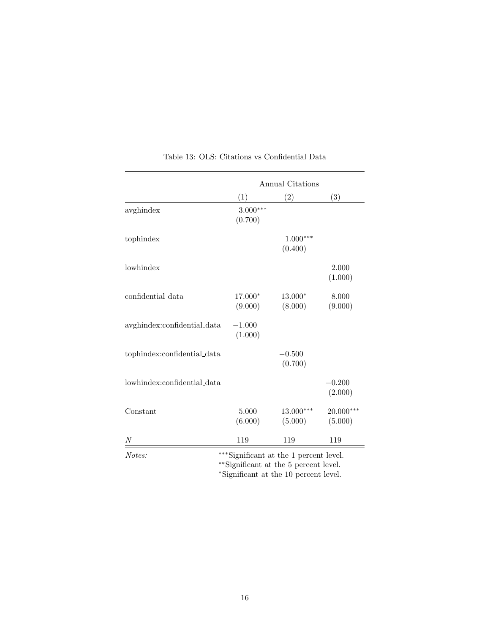<span id="page-17-0"></span>

|                                                      | Annual Citations      |                                        |                      |  |
|------------------------------------------------------|-----------------------|----------------------------------------|----------------------|--|
|                                                      | (1)                   | (2)                                    | (3)                  |  |
| avghindex                                            | $3.000***$<br>(0.700) |                                        |                      |  |
| tophindex                                            |                       | $1.000***$<br>(0.400)                  |                      |  |
| lowhindex                                            |                       |                                        | 2.000<br>(1.000)     |  |
| confidential data                                    | 17.000*<br>(9.000)    | 13.000*<br>(8.000)                     | 8.000<br>(9.000)     |  |
| $a v g h in {\rm dex:} confidence in the total data$ | $-1.000$<br>(1.000)   |                                        |                      |  |
| tophindex:confidential_data                          |                       | $-0.500$<br>(0.700)                    |                      |  |
| lowhindex:confidential_data                          |                       |                                        | $-0.200$<br>(2.000)  |  |
| Constant                                             | 5.000<br>(6.000)      | $13.000***$<br>(5.000)                 | 20.000***<br>(5.000) |  |
| N                                                    | 119                   | 119                                    | 119                  |  |
| Notes:                                               |                       | ***Significant at the 1 percent level. |                      |  |

Table 13: OLS: Citations vs Confidential Data

∗∗Significant at the 5 percent level.

<sup>∗</sup>Significant at the 10 percent level.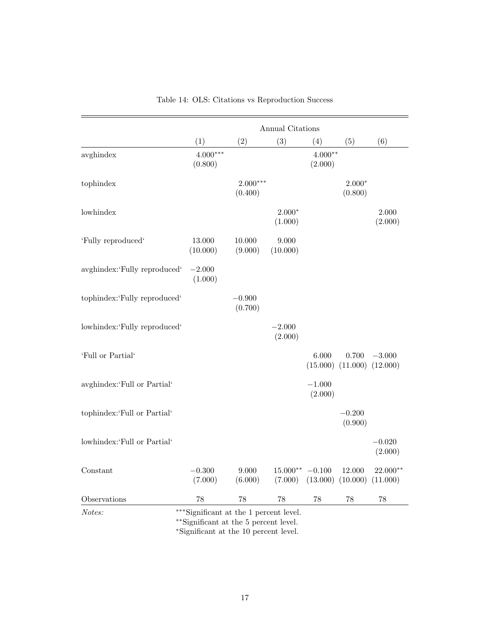<span id="page-18-0"></span>

|                              |                       |                       | Annual Citations    |                      |                     |                      |
|------------------------------|-----------------------|-----------------------|---------------------|----------------------|---------------------|----------------------|
|                              | (1)                   | (2)                   | (3)                 | (4)                  | (5)                 | (6)                  |
| avghindex                    | $4.000***$<br>(0.800) |                       |                     | $4.000**$<br>(2.000) |                     |                      |
| tophindex                    |                       | $2.000***$<br>(0.400) |                     |                      | $2.000*$<br>(0.800) |                      |
| lowhindex                    |                       |                       | $2.000*$<br>(1.000) |                      |                     | 2.000<br>(2.000)     |
| 'Fully reproduced'           | 13.000<br>(10.000)    | 10.000<br>(9.000)     | 9.000<br>(10.000)   |                      |                     |                      |
| avghindex:'Fully reproduced' | $-2.000$<br>(1.000)   |                       |                     |                      |                     |                      |
| tophindex:'Fully reproduced' |                       | $-0.900$<br>(0.700)   |                     |                      |                     |                      |
| lowhindex:'Fully reproduced' |                       |                       | $-2.000$<br>(2.000) |                      |                     |                      |
| 'Full or Partial'            |                       |                       |                     | 6.000<br>(15.000)    | 0.700<br>(11.000)   | $-3.000$<br>(12.000) |
| avghindex:'Full or Partial'  |                       |                       |                     | $-1.000$<br>(2.000)  |                     |                      |
| tophindex:'Full or Partial'  |                       |                       |                     |                      | $-0.200$<br>(0.900) |                      |
| lowhindex:'Full or Partial'  |                       |                       |                     |                      |                     | $-0.020$<br>(2.000)  |
| Constant                     | $-0.300$<br>(7.000)   | 9.000<br>(6.000)      | 15.000**<br>(7.000) | $-0.100$<br>(13.000) | 12.000<br>(10.000)  | 22.000**<br>(11.000) |
| Observations                 | 78                    | 78                    | 78                  | 78                   | 78                  | 78                   |

Table 14: OLS: Citations vs Reproduction Success

Notes: <sup>∗</sup>\*\*Significant at the 1 percent level.

∗∗Significant at the 5 percent level.

<sup>∗</sup>Significant at the 10 percent level.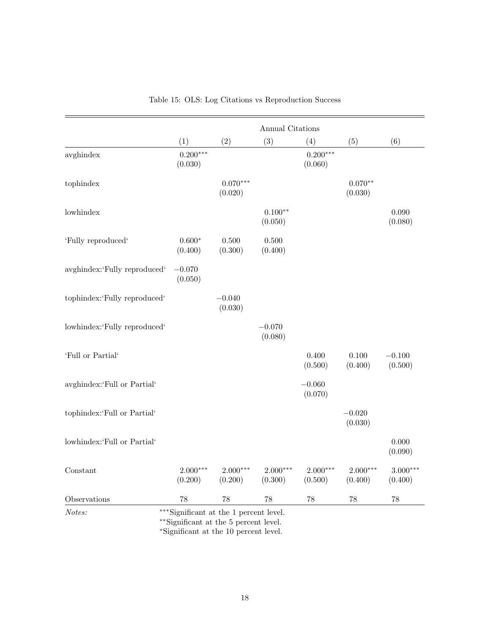|                              |                       |                       | Annual Citations      |                       |                       |                       |
|------------------------------|-----------------------|-----------------------|-----------------------|-----------------------|-----------------------|-----------------------|
|                              | (1)                   | (2)                   | (3)                   | (4)                   | (5)                   | (6)                   |
| avghindex                    | $0.200***$<br>(0.030) |                       |                       | $0.200***$<br>(0.060) |                       |                       |
| tophindex                    |                       | $0.070***$<br>(0.020) |                       |                       | $0.070**$<br>(0.030)  |                       |
| lowhindex                    |                       |                       | $0.100**$<br>(0.050)  |                       |                       | 0.090<br>(0.080)      |
| 'Fully reproduced'           | $0.600*$<br>(0.400)   | 0.500<br>(0.300)      | $0.500\,$<br>(0.400)  |                       |                       |                       |
| avghindex:'Fully reproduced' | $-0.070$<br>(0.050)   |                       |                       |                       |                       |                       |
| tophindex:'Fully reproduced' |                       | $-0.040$<br>(0.030)   |                       |                       |                       |                       |
| lowhindex:'Fully reproduced' |                       |                       | $-0.070$<br>(0.080)   |                       |                       |                       |
| 'Full or Partial'            |                       |                       |                       | 0.400<br>(0.500)      | 0.100<br>(0.400)      | $-0.100$<br>(0.500)   |
| avghindex:'Full or Partial'  |                       |                       |                       | $-0.060$<br>(0.070)   |                       |                       |
| tophindex:'Full or Partial'  |                       |                       |                       |                       | $-0.020$<br>(0.030)   |                       |
| lowhindex:'Full or Partial'  |                       |                       |                       |                       |                       | 0.000<br>(0.090)      |
| Constant                     | $2.000***$<br>(0.200) | $2.000***$<br>(0.200) | $2.000***$<br>(0.300) | $2.000***$<br>(0.500) | $2.000***$<br>(0.400) | $3.000***$<br>(0.400) |
| Observations                 | 78                    | $78\,$                | 78                    | 78                    | 78                    | 78                    |

|  | Table 15: OLS: Log Citations vs Reproduction Success |  |
|--|------------------------------------------------------|--|
|  |                                                      |  |

Notes: ∗∗∗Significant at the 1 percent level.

∗∗Significant at the 5 percent level.

<sup>∗</sup>Significant at the 10 percent level.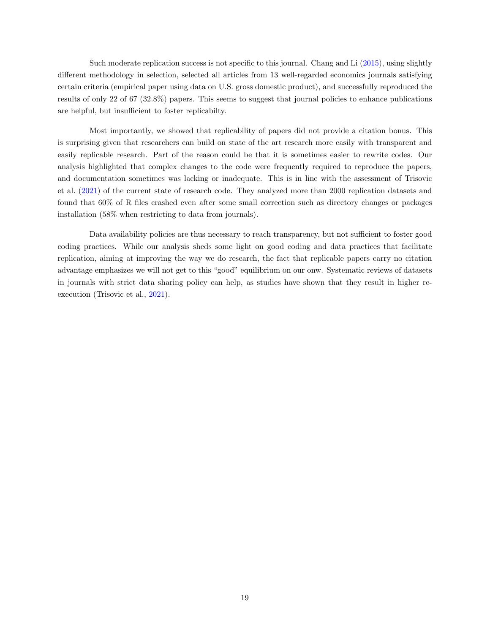<span id="page-20-0"></span>Such moderate replication success is not specific to this journal. Chang and Li [\(2015\)](#page-22-0), using slightly different methodology in selection, selected all articles from 13 well-regarded economics journals satisfying certain criteria (empirical paper using data on U.S. gross domestic product), and successfully reproduced the results of only 22 of 67 (32.8%) papers. This seems to suggest that journal policies to enhance publications are helpful, but insufficient to foster replicabilty.

Most importantly, we showed that replicability of papers did not provide a citation bonus. This is surprising given that researchers can build on state of the art research more easily with transparent and easily replicable research. Part of the reason could be that it is sometimes easier to rewrite codes. Our analysis highlighted that complex changes to the code were frequently required to reproduce the papers, and documentation sometimes was lacking or inadequate. This is in line with the assessment of Trisovic et al. [\(2021\)](#page-23-0) of the current state of research code. They analyzed more than 2000 replication datasets and found that 60% of R files crashed even after some small correction such as directory changes or packages installation (58% when restricting to data from journals).

Data availability policies are thus necessary to reach transparency, but not sufficient to foster good coding practices. While our analysis sheds some light on good coding and data practices that facilitate replication, aiming at improving the way we do research, the fact that replicable papers carry no citation advantage emphasizes we will not get to this "good" equilibrium on our onw. Systematic reviews of datasets in journals with strict data sharing policy can help, as studies have shown that they result in higher reexecution (Trisovic et al., [2021\)](#page-23-0).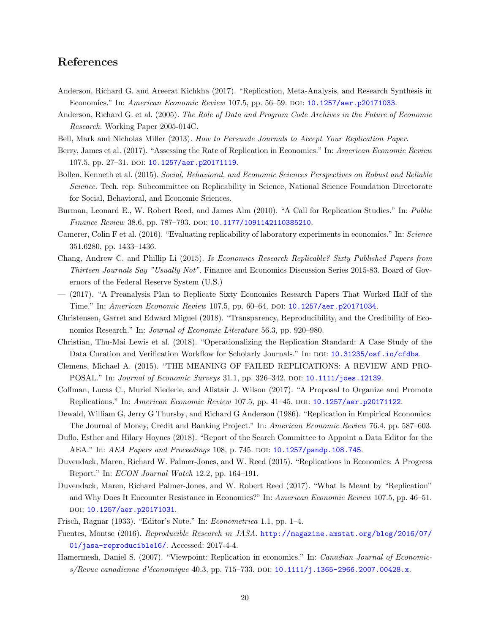### References

- Anderson, Richard G. and Areerat Kichkha (2017). "Replication, Meta-Analysis, and Research Synthesis in Economics." In: American Economic Review 107.5, pp. 56–59. DOI: [10.1257/aer.p20171033](https://doi.org/10.1257/aer.p20171033).
- Anderson, Richard G. et al. (2005). The Role of Data and Program Code Archives in the Future of Economic Research. Working Paper 2005-014C.
- Bell, Mark and Nicholas Miller (2013). How to Persuade Journals to Accept Your Replication Paper.
- Berry, James et al. (2017). "Assessing the Rate of Replication in Economics." In: American Economic Review 107.5, pp. 27-31. DOI: [10.1257/aer.p20171119](https://doi.org/10.1257/aer.p20171119).
- Bollen, Kenneth et al. (2015). Social, Behavioral, and Economic Sciences Perspectives on Robust and Reliable Science. Tech. rep. Subcommittee on Replicability in Science, National Science Foundation Directorate for Social, Behavioral, and Economic Sciences.
- Burman, Leonard E., W. Robert Reed, and James Alm (2010). "A Call for Replication Studies." In: Public Finance Review 38.6, pp. 787-793. DOI: [10.1177/1091142110385210](https://doi.org/10.1177/1091142110385210).
- Camerer, Colin F et al. (2016). "Evaluating replicability of laboratory experiments in economics." In: Science 351.6280, pp. 1433–1436.
- Chang, Andrew C. and Phillip Li (2015). Is Economics Research Replicable? Sixty Published Papers from Thirteen Journals Say "Usually Not". Finance and Economics Discussion Series 2015-83. Board of Governors of the Federal Reserve System (U.S.)
- (2017). "A Preanalysis Plan to Replicate Sixty Economics Research Papers That Worked Half of the Time." In: American Economic Review 107.5, pp. 60–64. doi: [10.1257/aer.p20171034](https://doi.org/10.1257/aer.p20171034).
- Christensen, Garret and Edward Miguel (2018). "Transparency, Reproducibility, and the Credibility of Economics Research." In: Journal of Economic Literature 56.3, pp. 920–980.
- Christian, Thu-Mai Lewis et al. (2018). "Operationalizing the Replication Standard: A Case Study of the Data Curation and Verification Workflow for Scholarly Journals." In: DOI: [10.31235/osf.io/cfdba](https://doi.org/10.31235/osf.io/cfdba).
- Clemens, Michael A. (2015). "THE MEANING OF FAILED REPLICATIONS: A REVIEW AND PRO-POSAL." In: Journal of Economic Surveys 31.1, pp. 326-342. DOI: [10.1111/joes.12139](https://doi.org/10.1111/joes.12139).
- Coffman, Lucas C., Muriel Niederle, and Alistair J. Wilson (2017). "A Proposal to Organize and Promote Replications." In: American Economic Review 107.5, pp. 41–45. DOI: [10.1257/aer.p20171122](https://doi.org/10.1257/aer.p20171122).
- Dewald, William G, Jerry G Thursby, and Richard G Anderson (1986). "Replication in Empirical Economics: The Journal of Money, Credit and Banking Project." In: American Economic Review 76.4, pp. 587–603.
- Duflo, Esther and Hilary Hoynes (2018). "Report of the Search Committee to Appoint a Data Editor for the AEA." In: AEA Papers and Proceedings 108, p. 745. DOI: [10.1257/pandp.108.745](https://doi.org/10.1257/pandp.108.745).
- Duvendack, Maren, Richard W. Palmer-Jones, and W. Reed (2015). "Replications in Economics: A Progress Report." In: ECON Journal Watch 12.2, pp. 164–191.
- Duvendack, Maren, Richard Palmer-Jones, and W. Robert Reed (2017). "What Is Meant by "Replication" and Why Does It Encounter Resistance in Economics?" In: American Economic Review 107.5, pp. 46–51. doi: [10.1257/aer.p20171031](https://doi.org/10.1257/aer.p20171031).
- Frisch, Ragnar (1933). "Editor's Note." In: Econometrica 1.1, pp. 1–4.
- Fuentes, Montse (2016). Reproducible Research in JASA. [http://magazine.amstat.org/blog/2016/07/](http://magazine.amstat.org/blog/2016/07/01/jasa-reproducible16/) [01/jasa-reproducible16/](http://magazine.amstat.org/blog/2016/07/01/jasa-reproducible16/). Accessed: 2017-4-4.
- Hamermesh, Daniel S. (2007). "Viewpoint: Replication in economics." In: *Canadian Journal of Economic-*s/Revue canadienne d'économique 40.3, pp. 715–733. DOI: [10.1111/j.1365-2966.2007.00428.x](https://doi.org/10.1111/j.1365-2966.2007.00428.x).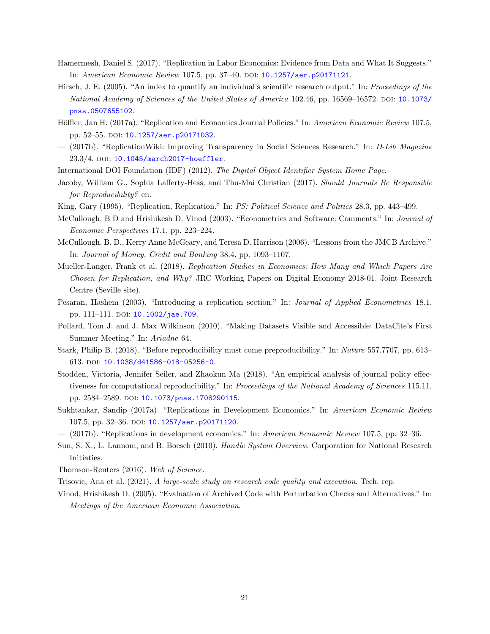- <span id="page-22-0"></span>Hamermesh, Daniel S. (2017). "Replication in Labor Economics: Evidence from Data and What It Suggests." In: American Economic Review 107.5, pp. 37-40. DOI: [10.1257/aer.p20171121](https://doi.org/10.1257/aer.p20171121).
- Hirsch, J. E. (2005). "An index to quantify an individual's scientific research output." In: Proceedings of the National Academy of Sciences of the United States of America 102.46, pp. 16569–16572. poi: [10.1073/](https://doi.org/10.1073/pnas.0507655102) [pnas.0507655102](https://doi.org/10.1073/pnas.0507655102).
- Höffler, Jan H. (2017a). "Replication and Economics Journal Policies." In: American Economic Review 107.5, pp. 52–55. doi: [10.1257/aer.p20171032](https://doi.org/10.1257/aer.p20171032).
- (2017b). "ReplicationWiki: Improving Transparency in Social Sciences Research." In: D-Lib Magazine 23.3/4. DOI: [10.1045/march2017-hoeffler](https://doi.org/10.1045/march2017-hoeffler).
- International DOI Foundation (IDF) (2012). The Digital Object Identifier System Home Page.
- Jacoby, William G., Sophia Lafferty-Hess, and Thu-Mai Christian (2017). Should Journals Be Responsible for Reproducibility? en.
- King, Gary (1995). "Replication, Replication." In: PS: Political Science and Politics 28.3, pp. 443–499.
- McCullough, B D and Hrishikesh D. Vinod (2003). "Econometrics and Software: Comments." In: Journal of Economic Perspectives 17.1, pp. 223–224.
- McCullough, B. D., Kerry Anne McGeary, and Teresa D. Harrison (2006). "Lessons from the JMCB Archive." In: Journal of Money, Credit and Banking 38.4, pp. 1093–1107.
- Mueller-Langer, Frank et al. (2018). Replication Studies in Economics: How Many and Which Papers Are *Chosen for Replication, and Why?* JRC Working Papers on Digital Economy 2018-01. Joint Research Centre (Seville site).
- Pesaran, Hashem (2003). "Introducing a replication section." In: Journal of Applied Econometrics 18.1, pp. 111–111. DOI: [10.1002/jae.709](https://doi.org/10.1002/jae.709).
- Pollard, Tom J. and J. Max Wilkinson (2010). "Making Datasets Visible and Accessible: DataCite's First Summer Meeting." In: Ariadne 64.
- Stark, Philip B. (2018). "Before reproducibility must come preproducibility." In: Nature 557.7707, pp. 613– 613. doi: [10.1038/d41586-018-05256-0](https://doi.org/10.1038/d41586-018-05256-0).
- Stodden, Victoria, Jennifer Seiler, and Zhaokun Ma (2018). "An empirical analysis of journal policy effectiveness for computational reproducibility." In: Proceedings of the National Academy of Sciences 115.11, pp. 2584–2589. doi: [10.1073/pnas.1708290115](https://doi.org/10.1073/pnas.1708290115).
- Sukhtankar, Sandip (2017a). "Replications in Development Economics." In: American Economic Review 107.5, pp. 32-36. DOI: [10.1257/aer.p20171120](https://doi.org/10.1257/aer.p20171120).
- (2017b). "Replications in development economics." In: American Economic Review 107.5, pp. 32–36.
- Sun, S. X., L. Lannom, and B. Boesch (2010). Handle System Overview. Corporation for National Research Initiaties.
- Thomson-Reuters (2016). Web of Science.
- Trisovic, Ana et al. (2021). A large-scale study on research code quality and execution. Tech. rep.
- Vinod, Hrishikesh D. (2005). "Evaluation of Archived Code with Perturbation Checks and Alternatives." In: Meetings of the American Economic Association.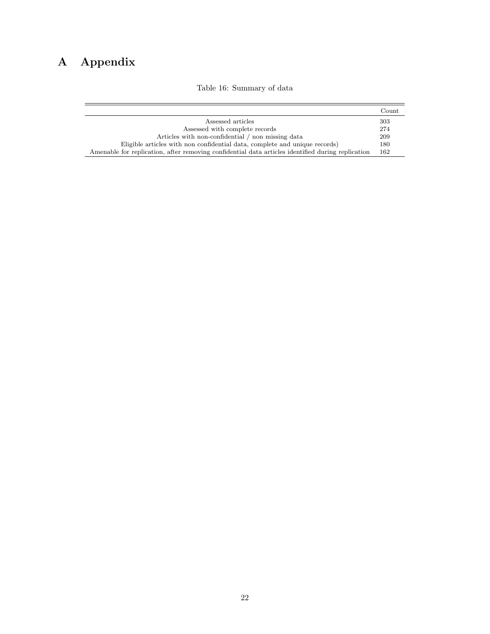# <span id="page-23-0"></span>A Appendix

### Table 16: Summary of data

|                                                                                                   | Count |
|---------------------------------------------------------------------------------------------------|-------|
| Assessed articles                                                                                 | 303   |
| Assessed with complete records                                                                    | 274   |
| Articles with non-confidential / non missing data                                                 | 209   |
| Eligible articles with non confidential data, complete and unique records)                        | 180   |
| Amenable for replication, after removing confidential data articles identified during replication | 162   |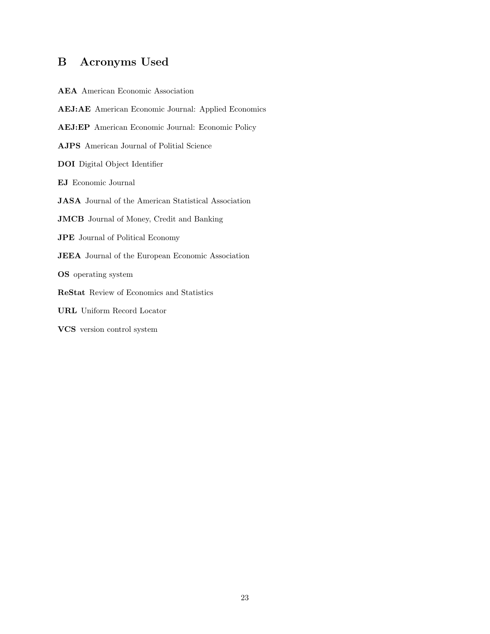### <span id="page-24-0"></span>B Acronyms Used

AEA American Economic Association AEJ:AE American Economic Journal: Applied Economics AEJ:EP American Economic Journal: Economic Policy AJPS American Journal of Politial Science DOI Digital Object Identifier EJ Economic Journal JASA Journal of the American Statistical Association JMCB Journal of Money, Credit and Banking JPE Journal of Political Economy JEEA Journal of the European Economic Association OS operating system ReStat Review of Economics and Statistics URL Uniform Record Locator VCS version control system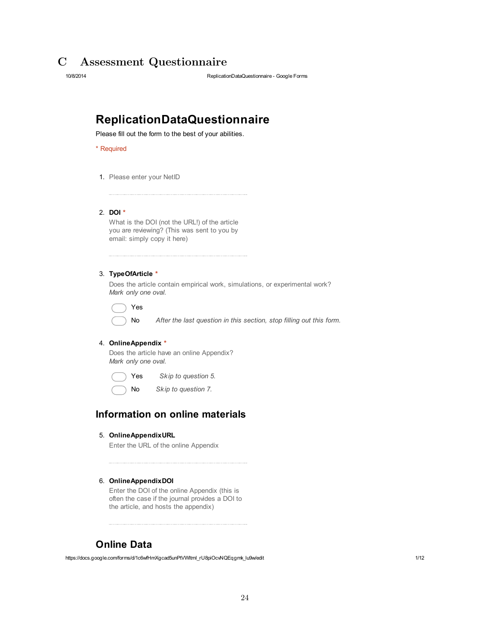### <span id="page-25-0"></span>C Assessment Questionnaire

10/8/2014 ReplicationDataQuestionnaire Google Forms

## **ReplicationDataQuestionnaire**

Please fill out the form to the best of your abilities.

\* Required

1. Please enter your NetID

2. **DOI \***

What is the DOI (not the URL!) of the article you are reviewing? (This was sent to you by email: simply copy it here)

#### 3. **TypeOfArticle \***

Does the article contain empirical work, simulations, or experimental work? *Mark only one oval.*

Yes

No *After the last question in this section, stop filling out this form.*

#### 4. **OnlineAppendix \***

Does the article have an online Appendix? *Mark only one oval.*

Yes *Skip to question 5.*

No *Skip to question 7.*

### **Information on online materials**

5. **OnlineAppendixURL**

Enter the URL of the online Appendix

#### 6. **OnlineAppendixDOI**

Enter the DOI of the online Appendix (this is often the case if the journal provides a DOI to the article, and hosts the appendix)

### **Online Data**

https://docs.google.com/forms/d/1c6wfHmXgcad5unPtVWItmI\_rU8piOcvNQEqgmk\_lu9w/edit 1/12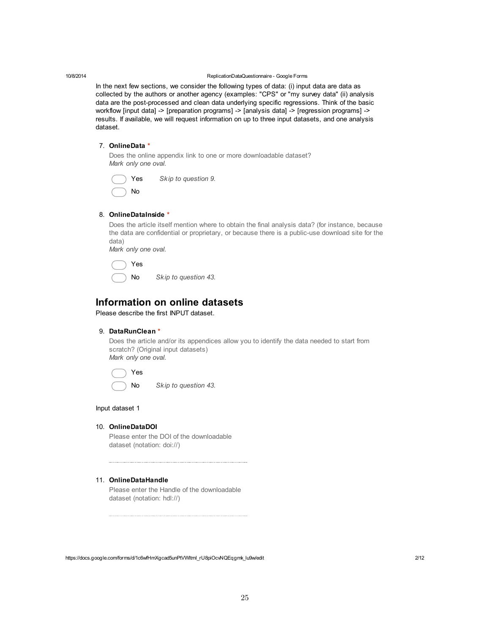<span id="page-26-0"></span>

In the next few sections, we consider the following types of data: (i) input data are data as collected by the authors or another agency (examples: "CPS" or "my survey data" (ii) analysis data are the post-processed and clean data underlying specific regressions. Think of the basic workflow [input data] -> [preparation programs] -> [analysis data] -> [regression programs] -> results. If available, we will request information on up to three input datasets, and one analysis dataset.

#### 7. **OnlineData \***

Does the online appendix link to one or more downloadable dataset? *Mark only one oval.*

| Yes | Skip to question 9. |
|-----|---------------------|
| No  |                     |

#### 8. **OnlineDataInside \***

Does the article itself mention where to obtain the final analysis data? (for instance, because the data are confidential or proprietary, or because there is a public-use download site for the data) *Mark only one oval.*

| Yes |
|-----|
|     |

No *Skip to question 43.*

### **Information on online datasets**

Please describe the first INPUT dataset.

#### 9. **DataRunClean \***

Does the article and/or its appendices allow you to identify the data needed to start from scratch? (Original input datasets) *Mark only one oval.*

Yes No *Skip to question 43.*

Input dataset 1

#### 10. **OnlineDataDOI**

Please enter the DOI of the downloadable dataset (notation: doi://)

#### 11. **OnlineDataHandle**

Please enter the Handle of the downloadable dataset (notation: hdl://)

https://docs.google.com/forms/d/1c6wfHmXgcad5unPtVWItmI\_rU8piOcvNQEqgmk\_lu9w/edit 2/12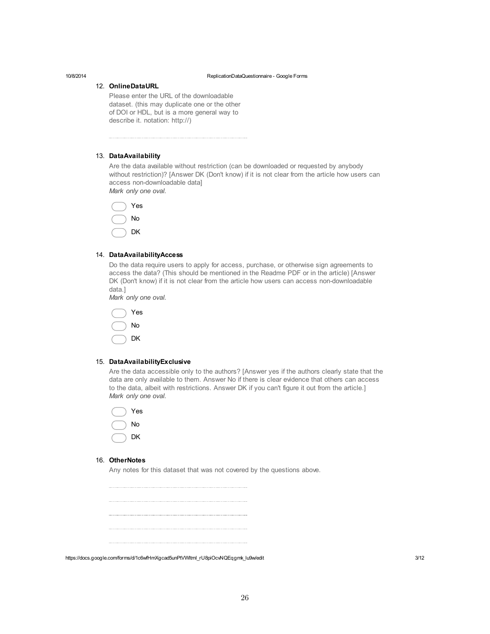#### 12. **OnlineDataURL**

Please enter the URL of the downloadable dataset. (this may duplicate one or the other of DOI or HDL, but is a more general way to describe it. notation: http://)

#### 13. **DataAvailability**

Are the data available without restriction (can be downloaded or requested by anybody without restriction)? [Answer DK (Don't know) if it is not clear from the article how users can access non-downloadable data] *Mark only one oval.*

Yes No

#### 14. **DataAvailabilityAccess**

DK

Do the data require users to apply for access, purchase, or otherwise sign agreements to access the data? (This should be mentioned in the Readme PDF or in the article) [Answer DK (Don't know) if it is not clear from the article how users can access non-downloadable data.]

*Mark only one oval.*



#### 15. **DataAvailabilityExclusive**

Are the data accessible only to the authors? [Answer yes if the authors clearly state that the data are only available to them. Answer No if there is clear evidence that others can access to the data, albeit with restrictions. Answer DK if you can't figure it out from the article.] *Mark only one oval.*



#### 16. **OtherNotes**

Any notes for this dataset that was not covered by the questions above.

https://docs.google.com/forms/d/1c6wfHmXgcad5unPtVWItmI\_rU8piOcvNQEqgmk\_lu9w/edit 3/12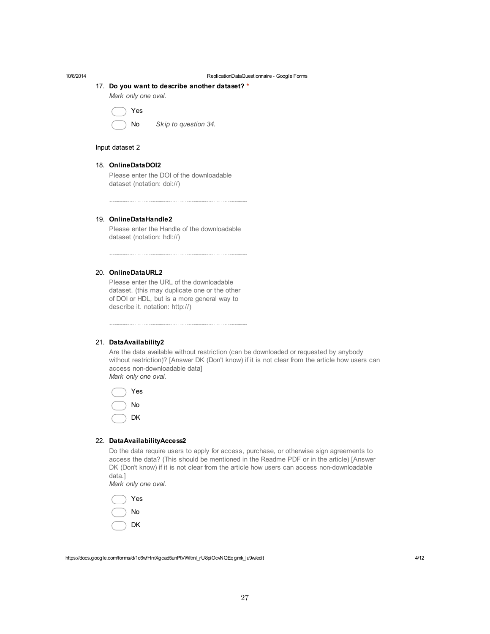#### 17. **Do you want to describe another dataset? \***

*Mark only one oval.*

```
Yes
```

```
No Skip to question 34.
```
#### Input dataset 2

#### 18. **OnlineDataDOI2**

Please enter the DOI of the downloadable dataset (notation: doi://)

#### 19. **OnlineDataHandle2**

Please enter the Handle of the downloadable dataset (notation: hdl://)

#### 20. **OnlineDataURL2**

Please enter the URL of the downloadable dataset. (this may duplicate one or the other of DOI or HDL, but is a more general way to describe it. notation: http://)

#### 21. **DataAvailability2**

Are the data available without restriction (can be downloaded or requested by anybody without restriction)? [Answer DK (Don't know) if it is not clear from the article how users can access non-downloadable data] *Mark only one oval.*



#### 22. **DataAvailabilityAccess2**

Do the data require users to apply for access, purchase, or otherwise sign agreements to access the data? (This should be mentioned in the Readme PDF or in the article) [Answer DK (Don't know) if it is not clear from the article how users can access non-downloadable data.]

*Mark only one oval.*



https://docs.google.com/forms/d/1c6wfHmXgcad5unPtVWItmI\_rU8piOcvNQEqgmk\_lu9w/edit 4/12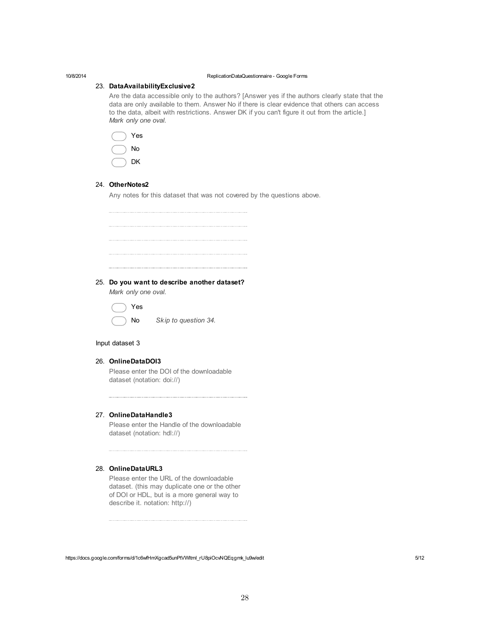#### 23. **DataAvailabilityExclusive2**

Are the data accessible only to the authors? [Answer yes if the authors clearly state that the data are only available to them. Answer No if there is clear evidence that others can access to the data, albeit with restrictions. Answer DK if you can't figure it out from the article.] *Mark only one oval.*



#### 24. **OtherNotes2**

Any notes for this dataset that was not covered by the questions above.

25. **Do you want to describe another dataset?**

*Mark only one oval.*



No *Skip to question 34.*

#### Input dataset 3

#### 26. **OnlineDataDOI3**

Please enter the DOI of the downloadable dataset (notation: doi://)

#### 27. **OnlineDataHandle3**

Please enter the Handle of the downloadable dataset (notation: hdl://)

#### 28. **OnlineDataURL3**

Please enter the URL of the downloadable dataset. (this may duplicate one or the other of DOI or HDL, but is a more general way to describe it. notation: http://)

https://docs.google.com/forms/d/1c6wfHmXgcad5unPtVWItmI\_rU8piOcvNQEqgmk\_lu9w/edit 5/12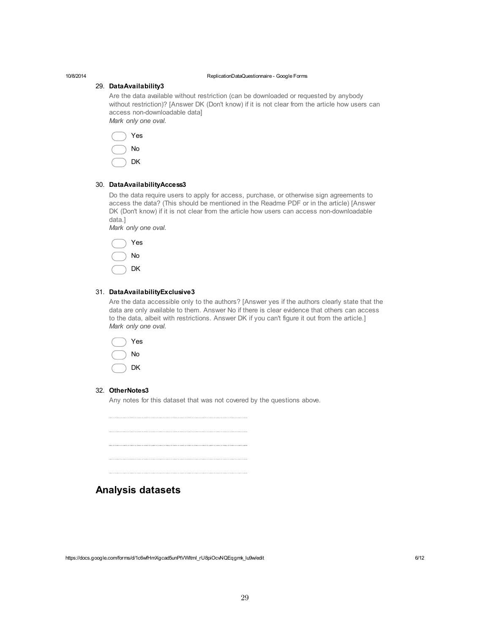#### 29. **DataAvailability3**

Are the data available without restriction (can be downloaded or requested by anybody without restriction)? [Answer DK (Don't know) if it is not clear from the article how users can access non-downloadable data] *Mark only one oval.*



#### 30. **DataAvailabilityAccess3**

Do the data require users to apply for access, purchase, or otherwise sign agreements to access the data? (This should be mentioned in the Readme PDF or in the article) [Answer DK (Don't know) if it is not clear from the article how users can access non-downloadable data.]

*Mark only one oval.*



#### 31. **DataAvailabilityExclusive3**

Are the data accessible only to the authors? [Answer yes if the authors clearly state that the data are only available to them. Answer No if there is clear evidence that others can access to the data, albeit with restrictions. Answer DK if you can't figure it out from the article.] *Mark only one oval.*



#### 32. **OtherNotes3**

Any notes for this dataset that was not covered by the questions above.

### **Analysis datasets**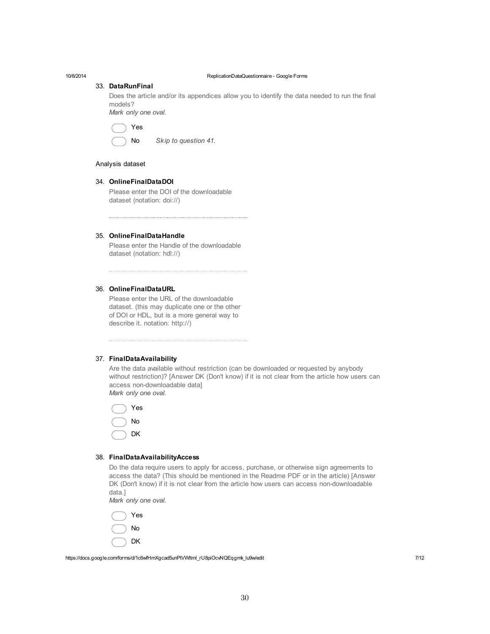#### 33. **DataRunFinal**

Does the article and/or its appendices allow you to identify the data needed to run the final models? *Mark only one oval.*

Yes



#### Analysis dataset

#### 34. **OnlineFinalDataDOI**

Please enter the DOI of the downloadable dataset (notation: doi://)

35. **OnlineFinalDataHandle**

Please enter the Handle of the downloadable dataset (notation: hdl://)

#### 36. **OnlineFinalDataURL**

Please enter the URL of the downloadable dataset. (this may duplicate one or the other of DOI or HDL, but is a more general way to describe it. notation: http://)

#### 37. **FinalDataAvailability**

Are the data available without restriction (can be downloaded or requested by anybody without restriction)? [Answer DK (Don't know) if it is not clear from the article how users can access non-downloadable datal *Mark only one oval.*



#### 38. **FinalDataAvailabilityAccess**

Do the data require users to apply for access, purchase, or otherwise sign agreements to access the data? (This should be mentioned in the Readme PDF or in the article) [Answer DK (Don't know) if it is not clear from the article how users can access non-downloadable data.]

*Mark only one oval.*

Yes No DK

https://docs.google.com/forms/d/1c6wfHmXgcad5unPtVWItmI\_rU8piOcvNQEqgmk\_lu9w/edit 7/12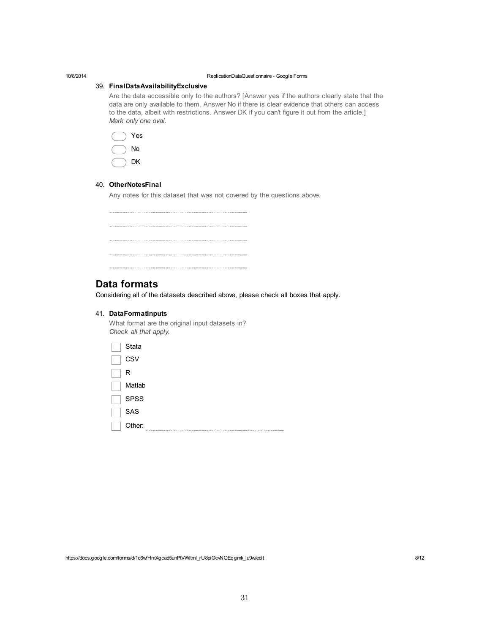#### 39. **FinalDataAvailabilityExclusive**

Are the data accessible only to the authors? [Answer yes if the authors clearly state that the data are only available to them. Answer No if there is clear evidence that others can access to the data, albeit with restrictions. Answer DK if you can't figure it out from the article.] *Mark only one oval.*



#### 40. **OtherNotesFinal**

Any notes for this dataset that was not covered by the questions above.

| . |  |  |
|---|--|--|
|   |  |  |

### **Data formats**

Considering all of the datasets described above, please check all boxes that apply.

#### 41. **DataFormatInputs**

What format are the original input datasets in? *Check all that apply.*

| Stata       |
|-------------|
| <b>CSV</b>  |
| R           |
| Matlab      |
| <b>SPSS</b> |
| SAS         |
| Other:<br>  |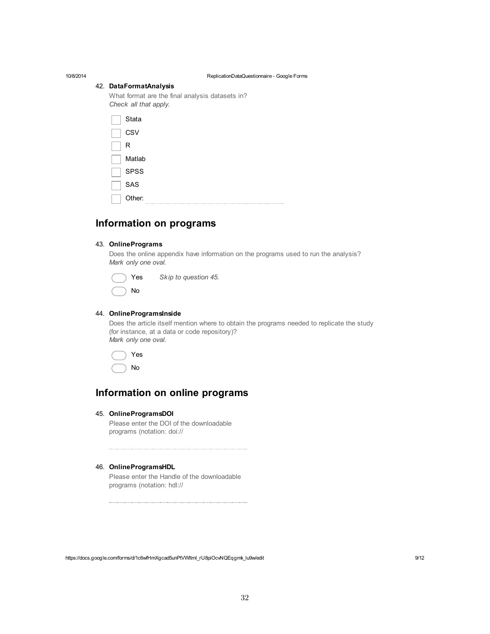#### 42. **DataFormatAnalysis**

What format are the final analysis datasets in? *Check all that apply.*

| Stata  |  |  |
|--------|--|--|
| CSV    |  |  |
| R      |  |  |
| Matlab |  |  |
| SPSS   |  |  |
| SAS    |  |  |
| Other: |  |  |

### **Information on programs**

#### 43. **OnlinePrograms**

Does the online appendix have information on the programs used to run the analysis? *Mark only one oval.*

| Yes | Skip to question 45. |
|-----|----------------------|
| No  |                      |

#### 44. **OnlineProgramsInside**

Does the article itself mention where to obtain the programs needed to replicate the study (for instance, at a data or code repository)? *Mark only one oval.*

Yes No

### **Information on online programs**

#### 45. **OnlineProgramsDOI**

Please enter the DOI of the downloadable programs (notation: doi://

#### 46. **OnlineProgramsHDL**

Please enter the Handle of the downloadable programs (notation: hdl://

https://docs.google.com/forms/d/1c6wfHmXgcad5unPtVWItmI\_rU8piOcvNQEqgmk\_lu9w/edit 9/12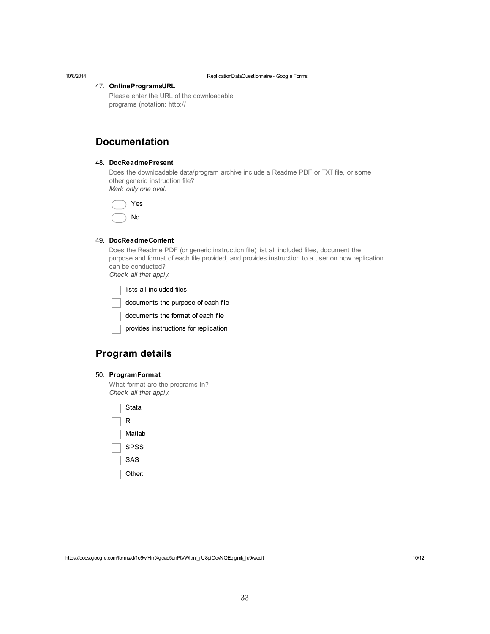#### 47. **OnlineProgramsURL**

Please enter the URL of the downloadable programs (notation: http://

### **Documentation**

#### 48. **DocReadmePresent**

Does the downloadable data/program archive include a Readme PDF or TXT file, or some other generic instruction file? *Mark only one oval.*

Yes No

#### 49. **DocReadmeContent**

Does the Readme PDF (or generic instruction file) list all included files, document the purpose and format of each file provided, and provides instruction to a user on how replication can be conducted? *Check all that apply.*

lists all included files documents the purpose of each file documents the format of each file provides instructions for replication

### **Program details**

| 50. ProgramFormat |  |
|-------------------|--|
|-------------------|--|

What format are the programs in? *Check all that apply.*

| Stata       |
|-------------|
| R           |
| Matlab      |
| <b>SPSS</b> |
| SAS         |
| Other:      |

https://docs.google.com/forms/d/1c6wfHmXgcad5unPtVWItmI\_rU8piOcvNQEqgmk\_lu9w/edit 10/12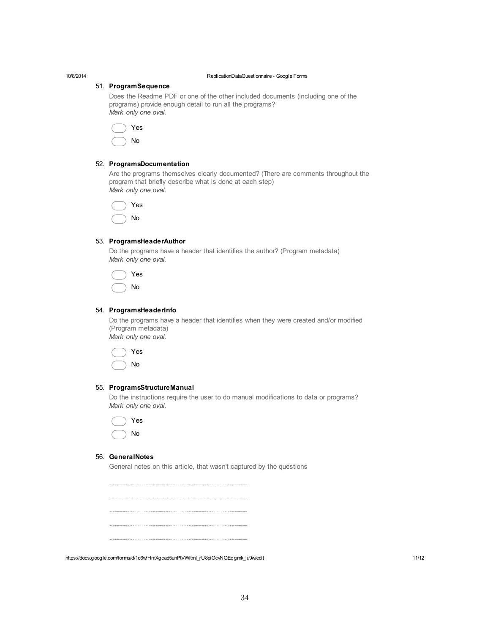#### 51. **ProgramSequence**

Does the Readme PDF or one of the other included documents (including one of the programs) provide enough detail to run all the programs? *Mark only one oval.*

Yes No

#### 52. **ProgramsDocumentation**

Are the programs themselves clearly documented? (There are comments throughout the program that briefly describe what is done at each step) *Mark only one oval.*

Yes No

#### 53. **ProgramsHeaderAuthor**

Do the programs have a header that identifies the author? (Program metadata) *Mark only one oval.*

|  | Yes |
|--|-----|
|  | Nο  |

#### 54. **ProgramsHeaderInfo**

Do the programs have a header that identifies when they were created and/or modified (Program metadata) *Mark only one oval.*

Yes

No

#### 55. **ProgramsStructureManual**

Do the instructions require the user to do manual modifications to data or programs? *Mark only one oval.*

| د<br>÷ |
|--------|
| ר      |

#### 56. **GeneralNotes**

General notes on this article, that wasn't captured by the questions

https://docs.google.com/forms/d/1c6wfHmXgcad5unPtVWItmI\_rU8piOcvNQEqgmk\_lu9w/edit 11/12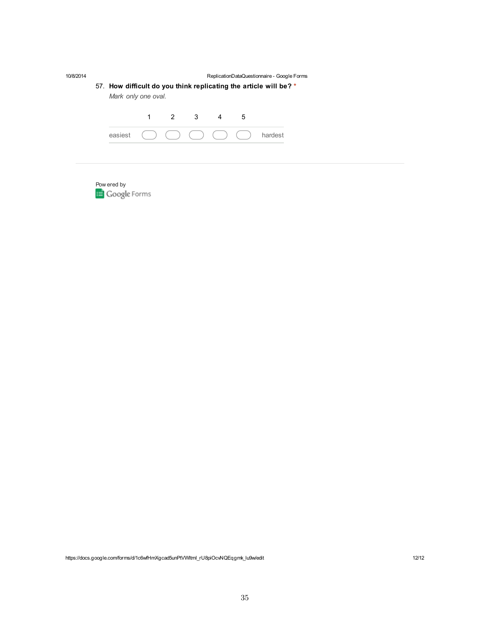| 10/8/2014 | ReplicationDataQuestionnaire - Google Forms<br>57. How difficult do you think replicating the article will be? *<br>Mark only one oval. |   |     |  |    |   |         |
|-----------|-----------------------------------------------------------------------------------------------------------------------------------------|---|-----|--|----|---|---------|
|           |                                                                                                                                         | 1 | 2 3 |  | -4 | 5 |         |
|           | easiest                                                                                                                                 |   |     |  |    |   | hardest |
|           |                                                                                                                                         |   |     |  |    |   |         |
|           |                                                                                                                                         |   |     |  |    |   |         |

Pow ered by

https://docs.google.com/forms/d/1c6wfHmXgcad5unPtVWItmI\_rU8piOcvNQEqgmk\_lu9w/edit 12012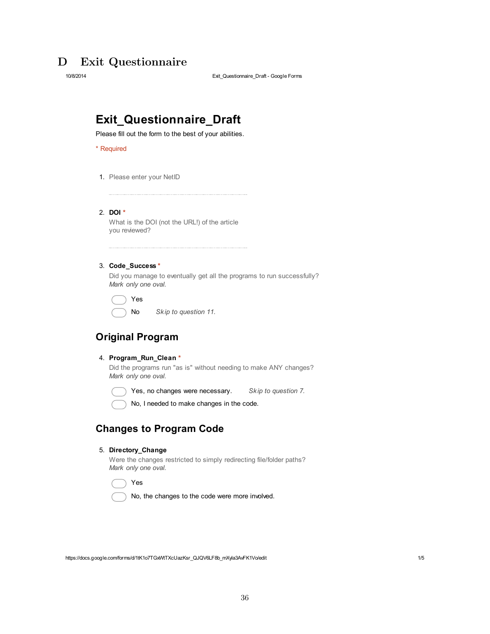## D Exit Questionnaire

10/8/2014 Exit\_Questionnaire\_Draft Google Forms

# **Exit\_Questionnaire\_Draft**

Please fill out the form to the best of your abilities.

\* Required

1. Please enter your NetID

2. **DOI \*** What is the DOI (not the URL!) of the article you reviewed?

3. **Code\_Success \***

Did you manage to eventually get all the programs to run successfully? *Mark only one oval.*

Yes

No *Skip to question 11.*

### **Original Program**

4. **Program\_Run\_Clean \***

Did the programs run "as is" without needing to make ANY changes? *Mark only one oval.*

Yes, no changes were necessary. *Skip to question 7.*



No, I needed to make changes in the code.

### **Changes to Program Code**

#### 5. **Directory\_Change**

Were the changes restricted to simply redirecting file/folder paths? *Mark only one oval.*

Yes

No, the changes to the code were more involved.

https://docs.google.com/forms/d/1tK1o7TGxWtTXcUazKsr\_QJQV6LF8b\_mXyIa3AvFK1Vo/edit 1/5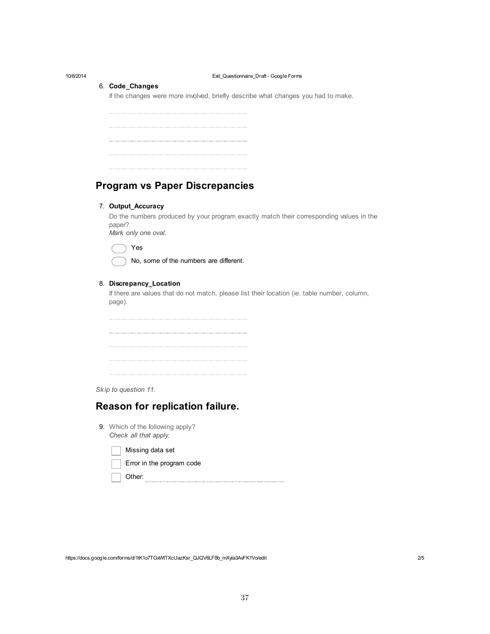#### <span id="page-38-0"></span>10/8/2014 Exit\_Questionnaire\_Draft Google Forms

#### 6. **Code\_Changes**

If the changes were more involved, briefly describe what changes you had to make.

### **Program vs Paper Discrepancies**

#### 7. **Output\_Accuracy**

Do the numbers produced by your program exactly match their corresponding values in the paper?

*Mark only one oval.*

Yes

No, some of the numbers are different.

#### 8. **Discrepancy\_Location**

If there are values that do not match, please list their location (ie. table number, column, page).

*Skip to question 11.*

### **Reason for replication failure.**

9. Which of the following apply? *Check all that apply.*

Missing data set

|  |  |  |  | Error in the program code |  |
|--|--|--|--|---------------------------|--|
|--|--|--|--|---------------------------|--|

Other:

https://docs.google.com/forms/d/1tK1o7TGxWtTXcUazKsr\_QJQV6LF8b\_mXyla3AvFK1Vo/edit 205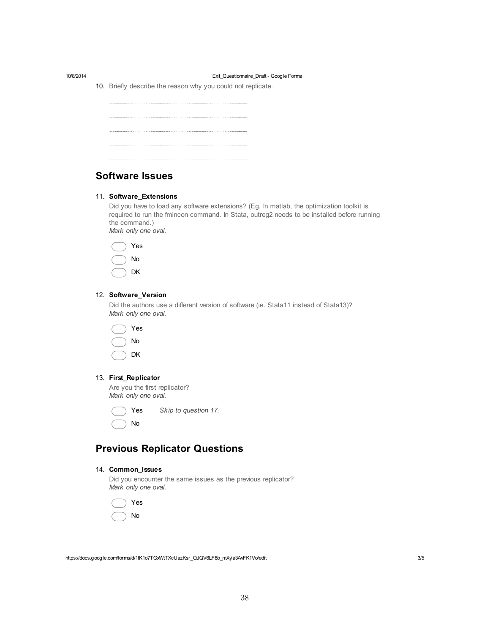#### 10/8/2014 Exit\_Questionnaire\_Draft Google Forms

10. Briefly describe the reason why you could not replicate.

### **Software Issues**

#### 11. **Software\_Extensions**

Did you have to load any software extensions? (Eg. In matlab, the optimization toolkit is required to run the fmincon command. In Stata, outreg2 needs to be installed before running the command.) *Mark only one oval.*



#### 12. **Software\_Version**

Did the authors use a different version of software (ie. Stata11 instead of Stata13)? *Mark only one oval.*



#### 13. **First\_Replicator**

Are you the first replicator? *Mark only one oval.*

| Yes | Skip to question |
|-----|------------------|
| No  |                  |

### **Previous Replicator Questions**

#### 14. **Common\_Issues**

Did you encounter the same issues as the previous replicator? *Mark only one oval.*

Yes *Skip to question 17.*

Yes No

https://docs.google.com/forms/d/1tK1o7TGxWtTXcUazKsr\_QJQV6LF8b\_mXyIa3AvFK1Vo/edit 3/5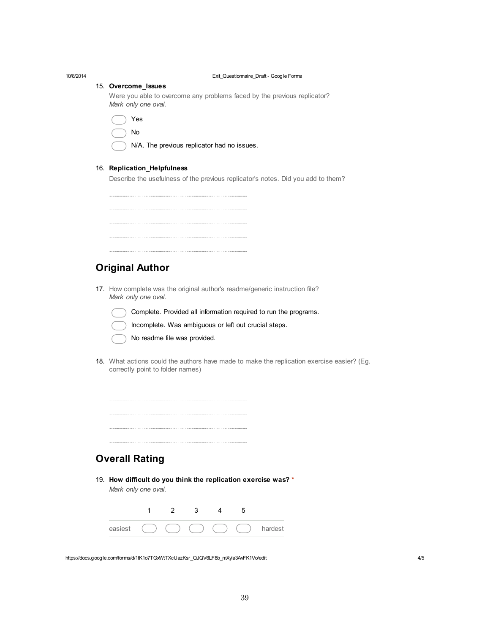| 10/8/2014 | Exit_Questionnaire_Draft - Google Forms                                                            |
|-----------|----------------------------------------------------------------------------------------------------|
|           | 15. Overcome_Issues                                                                                |
|           | Were you able to overcome any problems faced by the previous replicator?<br>Mark only one oval.    |
|           | Yes                                                                                                |
|           | No                                                                                                 |
|           | N/A. The previous replicator had no issues.                                                        |
|           |                                                                                                    |
|           | 16. Replication_Helpfulness                                                                        |
|           | Describe the usefulness of the previous replicator's notes. Did you add to them?                   |
|           |                                                                                                    |
|           |                                                                                                    |
|           |                                                                                                    |
|           |                                                                                                    |
|           |                                                                                                    |
|           |                                                                                                    |
|           | <b>Original Author</b>                                                                             |
|           |                                                                                                    |
|           | 17. How complete was the original author's readme/generic instruction file?<br>Mark only one oval. |
|           |                                                                                                    |
|           | Complete. Provided all information required to run the programs.                                   |
|           | Incomplete. Was ambiguous or left out crucial steps.                                               |
|           | No readme file was provided.                                                                       |
|           | 18. What actions could the authors have made to make the replication exercise easier? (Eg.         |
|           | correctly point to folder names)                                                                   |
|           |                                                                                                    |
|           |                                                                                                    |
|           |                                                                                                    |
|           |                                                                                                    |
|           |                                                                                                    |
|           |                                                                                                    |
|           | <b>Overall Rating</b>                                                                              |
|           |                                                                                                    |
|           | 19. How difficult do you think the replication exercise was? *                                     |
|           | Mark only one oval.                                                                                |
|           | $\overline{2}$<br>1<br>3<br>5<br>4                                                                 |
|           |                                                                                                    |
|           | easiest<br>hardest                                                                                 |
|           |                                                                                                    |

https://docs.google.com/forms/d/1tK1o7TGxWtTXcUazKsr\_QJQV6LF8b\_mXyIa3AvFK1Vo/edit 4/5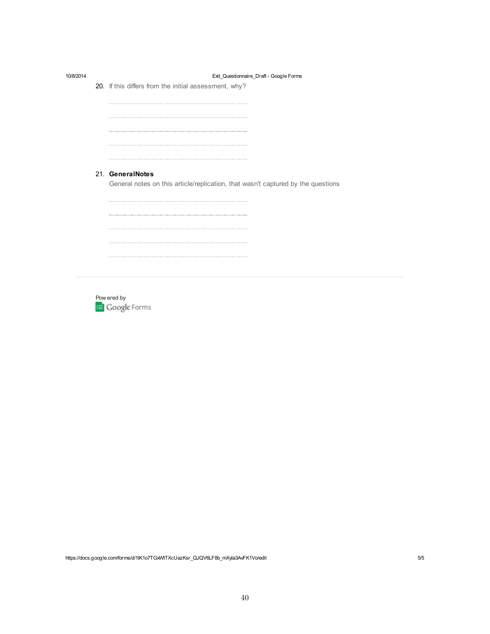| 10/8/2014 | Exit_Questionnaire_Draft - Google Forms                                          |
|-----------|----------------------------------------------------------------------------------|
|           | 20. If this differs from the initial assessment, why?                            |
|           |                                                                                  |
|           |                                                                                  |
|           |                                                                                  |
|           |                                                                                  |
|           |                                                                                  |
|           | 21. GeneralNotes                                                                 |
|           | General notes on this article/replication, that wasn't captured by the questions |
|           |                                                                                  |
|           |                                                                                  |
|           |                                                                                  |
|           |                                                                                  |
|           |                                                                                  |
|           |                                                                                  |



https://docs.google.com/forms/d/1tK1o7TGxWtTXcUazKsr\_QJQV6LF8b\_mXyla3AvFK1Vo/edit 5/5